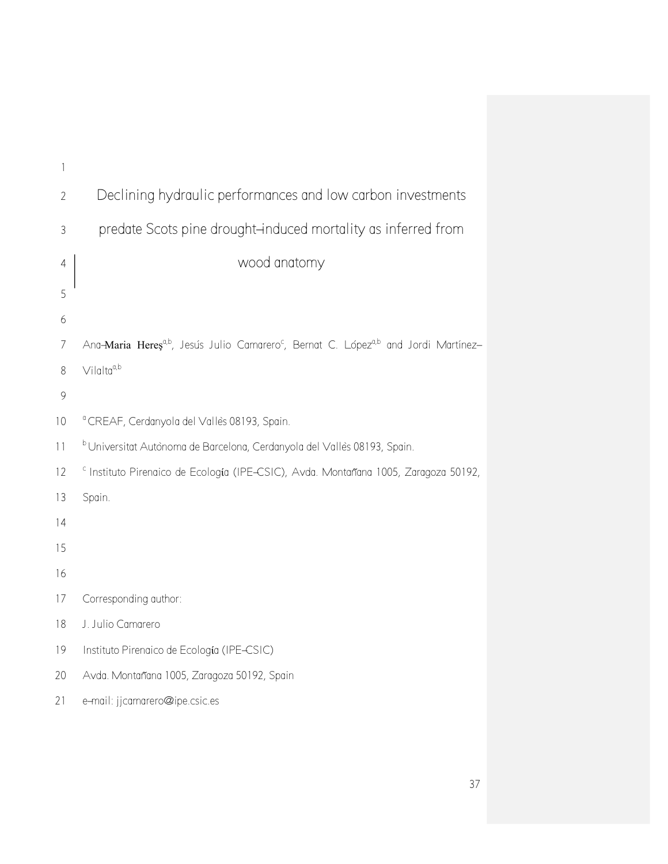| 1              |                                                                                                                          |
|----------------|--------------------------------------------------------------------------------------------------------------------------|
| $\overline{2}$ | Declining hydraulic performances and low carbon investments                                                              |
| $\mathfrak{Z}$ | predate Scots pine drought-induced mortality as inferred from                                                            |
| 4              | wood anatomy                                                                                                             |
| 5              |                                                                                                                          |
| 6              |                                                                                                                          |
| $\overline{7}$ | Ana-Maria Hereș <sup>a,b</sup> , Jesuís Julio Camarero <sup>c</sup> , Bernat C. López <sup>a,b</sup> and Jordi Martínez- |
| 8              | $V$ ilalta <sup>a,b</sup>                                                                                                |
| 9              |                                                                                                                          |
| 10             | <sup>a</sup> CREAF, Cerdanyola del Vallès 08193, Spain.                                                                  |
| 11             | <sup>b</sup> Universitat Autònoma de Barcelona, Cerdanyola del Vallès 08193, Spain.                                      |
| 12             | <sup>c</sup> Instituto Pirenaico de Ecología (IPE-CSIC), Avda. Montañana 1005, Zaragoza 50192,                           |
| 13             | Spain.                                                                                                                   |
| 14             |                                                                                                                          |
| 15             |                                                                                                                          |
| 16             |                                                                                                                          |
| 17             | Corresponding author:                                                                                                    |
| 18             | J. Julio Camarero                                                                                                        |
| 19             | Instituto Pirenaico de Ecología (IPE-CSIC)                                                                               |
| 20             | Avda. Montañana 1005, Zaragoza 50192, Spain                                                                              |
| 21             | e-mail: jjcamarero@ipe.csic.es                                                                                           |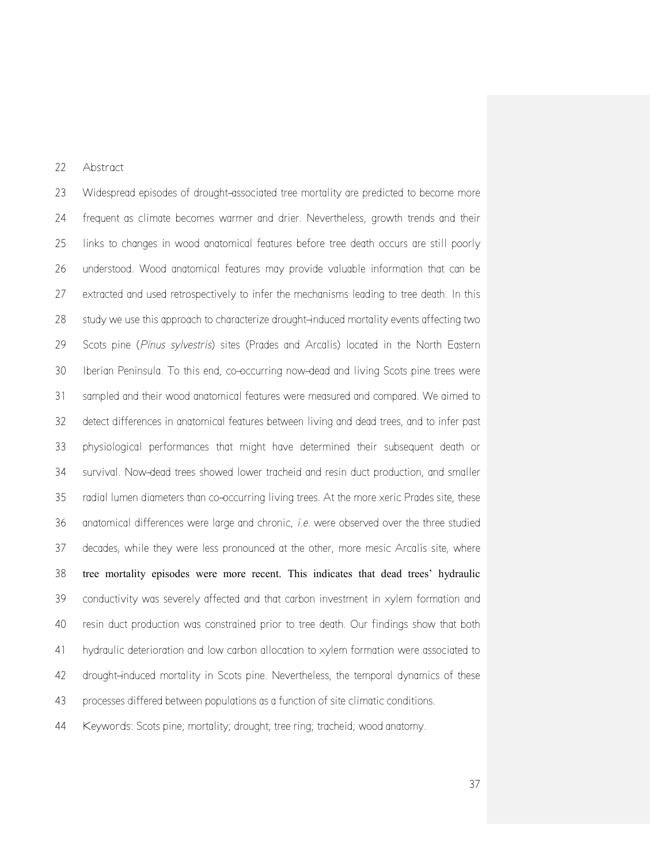# Abstract

 Widespread episodes of drought-associated tree mortality are predicted to become more frequent as climate becomes warmer and drier. Nevertheless, growth trends and their links to changes in wood anatomical features before tree death occurs are still poorly understood. Wood anatomical features may provide valuable information that can be extracted and used retrospectively to infer the mechanisms leading to tree death. In this study we use this approach to characterize drought-induced mortality events affecting two Scots pine (*Pinus sylvestris*) sites (Prades and Arcalís) located in the North Eastern Iberian Peninsula. To this end, co-occurring now-dead and living Scots pine trees were sampled and their wood anatomical features were measured and compared. We aimed to detect differences in anatomical features between living and dead trees, and to infer past physiological performances that might have determined their subsequent death or survival. Now-dead trees showed lower tracheid and resin duct production, and smaller radial lumen diameters than co-occurring living trees. At the more xeric Prades site, these anatomical differences were large and chronic, *i.e.* were observed over the three studied decades, while they were less pronounced at the other, more mesic Arcalís site, where tree mortality episodes were more recent. This indicates that dead trees' hydraulic conductivity was severely affected and that carbon investment in xylem formation and resin duct production was constrained prior to tree death. Our findings show that both hydraulic deterioration and low carbon allocation to xylem formation were associated to 42 drought-induced mortality in Scots pine. Nevertheless, the temporal dynamics of these processes differed between populations as a function of site climatic conditions.

Keywords: Scots pine; mortality; drought; tree ring; tracheid; wood anatomy.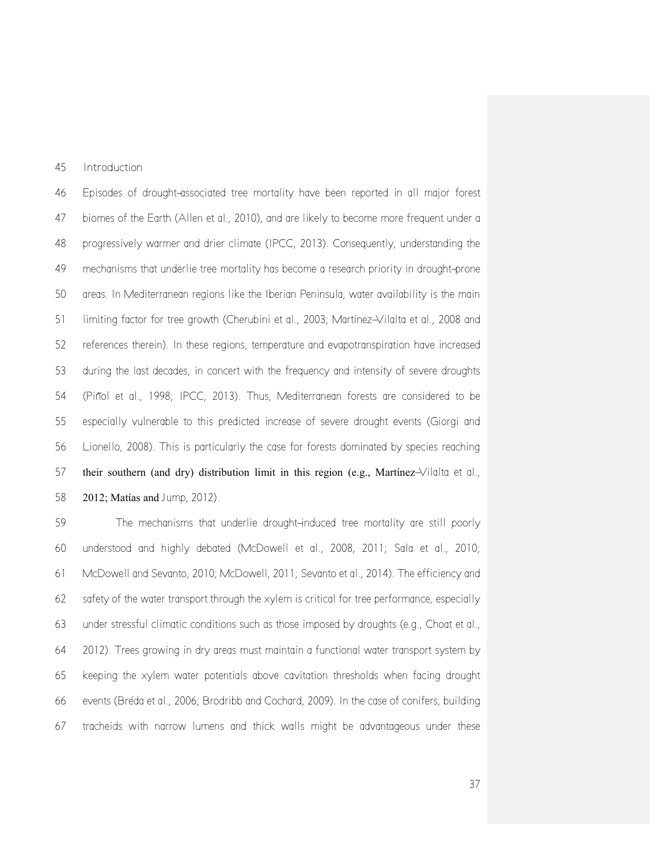Introduction

 Episodes of drought-associated tree mortality have been reported in all major forest biomes of the Earth (Allen et al., 2010), and are likely to become more frequent under a progressively warmer and drier climate (IPCC, 2013). Consequently, understanding the mechanisms that underlie tree mortality has become a research priority in drought-prone areas. In Mediterranean regions like the Iberian Peninsula, water availability is the main limiting factor for tree growth (Cherubini et al*.*, 2003; Martínez-Vilalta et al., 2008 and references therein). In these regions, temperature and evapotranspiration have increased during the last decades, in concert with the frequency and intensity of severe droughts (Piñol et al., 1998; IPCC, 2013). Thus, Mediterranean forests are considered to be especially vulnerable to this predicted increase of severe drought events (Giorgi and Lionello, 2008). This is particularly the case for forests dominated by species reaching their southern (and dry) distribution limit in this region (e.g., Martίnez-Vilalta et al., 2012; Matίas and Jump, 2012).

 The mechanisms that underlie drought-induced tree mortality are still poorly understood and highly debated (McDowell et al., 2008, 2011; Sala et al., 2010; McDowell and Sevanto, 2010; McDowell, 2011; Sevanto et al., 2014). The efficiency and safety of the water transport through the xylem is critical for tree performance, especially under stressful climatic conditions such as those imposed by droughts (e.g., Choat et al., 2012). Trees growing in dry areas must maintain a functional water transport system by keeping the xylem water potentials above cavitation thresholds when facing drought events (Bréda et al., 2006; Brodribb and Cochard, 2009). In the case of conifers, building tracheids with narrow lumens and thick walls might be advantageous under these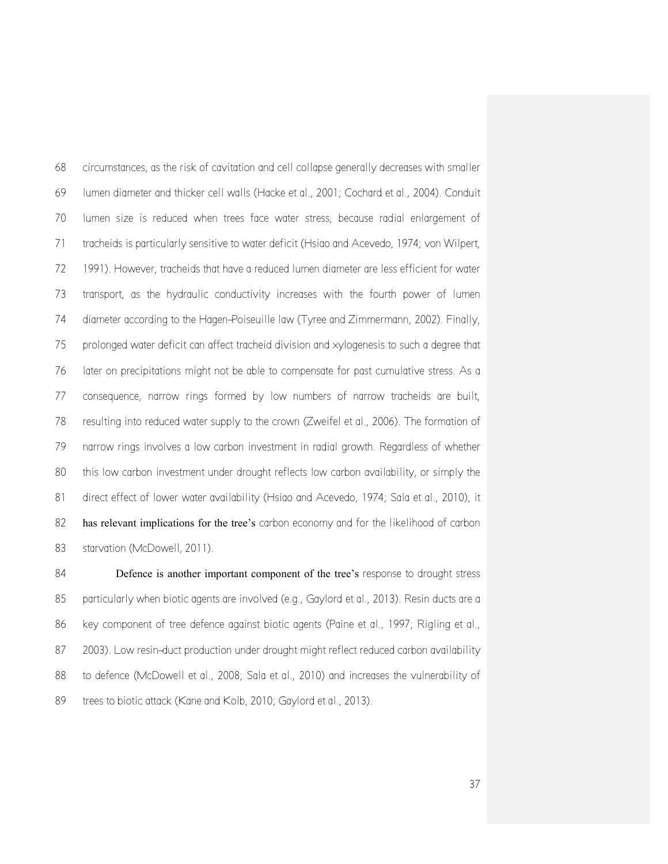circumstances, as the risk of cavitation and cell collapse generally decreases with smaller lumen diameter and thicker cell walls (Hacke et al., 2001; Cochard et al., 2004). Conduit lumen size is reduced when trees face water stress, because radial enlargement of tracheids is particularly sensitive to water deficit (Hsiao and Acevedo, 1974; von Wilpert, 1991). However, tracheids that have a reduced lumen diameter are less efficient for water transport, as the hydraulic conductivity increases with the fourth power of lumen diameter according to the Hagen-Poiseuille law (Tyree and Zimmermann, 2002). Finally, prolonged water deficit can affect tracheid division and xylogenesis to such a degree that later on precipitations might not be able to compensate for past cumulative stress. As a consequence, narrow rings formed by low numbers of narrow tracheids are built, resulting into reduced water supply to the crown (Zweifel et al., 2006). The formation of narrow rings involves a low carbon investment in radial growth. Regardless of whether this low carbon investment under drought reflects low carbon availability, or simply the direct effect of lower water availability (Hsiao and Acevedo, 1974; Sala et al., 2010), it has relevant implications for the tree's carbon economy and for the likelihood of carbon 83 starvation (McDowell, 2011).

84 Defence is another important component of the tree's response to drought stress particularly when biotic agents are involved (e.g., Gaylord et al., 2013). Resin ducts are a 86 key component of tree defence against biotic agents (Paine et al., 1997; Rigling et al., 2003). Low resin-duct production under drought might reflect reduced carbon availability 88 to defence (McDowell et al., 2008; Sala et al., 2010) and increases the vulnerability of 89 trees to biotic attack (Kane and Kolb, 2010; Gaylord et al., 2013).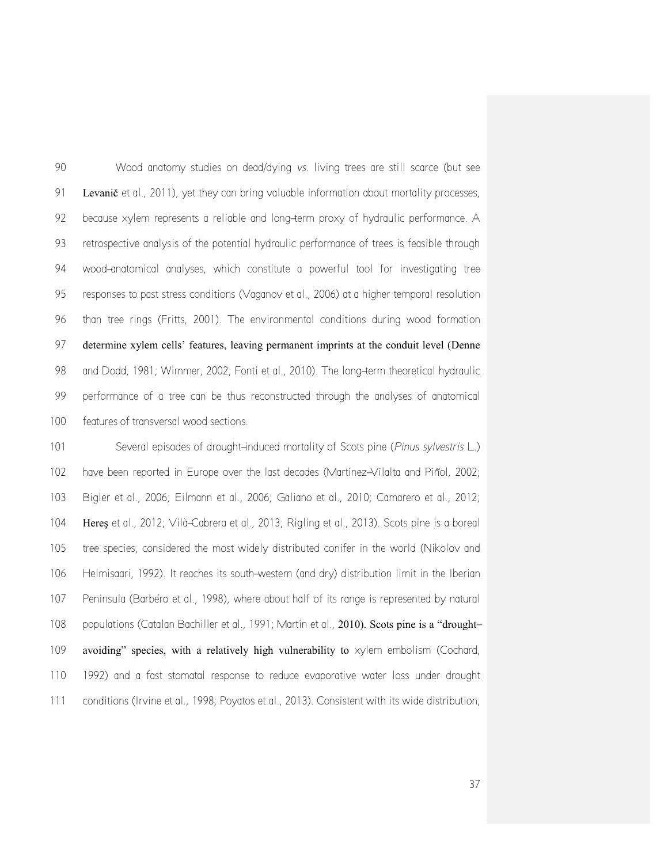Wood anatomy studies on dead/dying *vs.* living trees are still scarce (but see 91 Levanič et al., 2011), yet they can bring valuable information about mortality processes, because xylem represents a reliable and long-term proxy of hydraulic performance. A retrospective analysis of the potential hydraulic performance of trees is feasible through wood-anatomical analyses, which constitute a powerful tool for investigating tree responses to past stress conditions (Vaganov et al., 2006) at a higher temporal resolution than tree rings (Fritts, 2001). The environmental conditions during wood formation determine xylem cells' features, leaving permanent imprints at the conduit level (Denne and Dodd, 1981; Wimmer, 2002; Fonti et al., 2010). The long-term theoretical hydraulic performance of a tree can be thus reconstructed through the analyses of anatomical features of transversal wood sections.

 Several episodes of drought-induced mortality of Scots pine (*Pinus sylvestris* L.) have been reported in Europe over the last decades (Martínez-Vilalta and Piñol, 2002; Bigler et al., 2006; Eilmann et al., 2006; Galiano et al., 2010; Camarero et al., 2012; Hereş et al., 2012; Vilà-Cabrera et al., 2013; Rigling et al., 2013). Scots pine is a boreal tree species, considered the most widely distributed conifer in the world (Nikolov and Helmisaari, 1992). It reaches its south-western (and dry) distribution limit in the Iberian Peninsula (Barbéro et al., 1998), where about half of its range is represented by natural 108 populations (Catalan Bachiller et al., 1991; Martín et al., 2010). Scots pine is a "drought-109 avoiding" species, with a relatively high vulnerability to  $x$ ylem embolism (Cochard, 1992) and a fast stomatal response to reduce evaporative water loss under drought conditions (Irvine et al., 1998; Poyatos et al., 2013). Consistent with its wide distribution,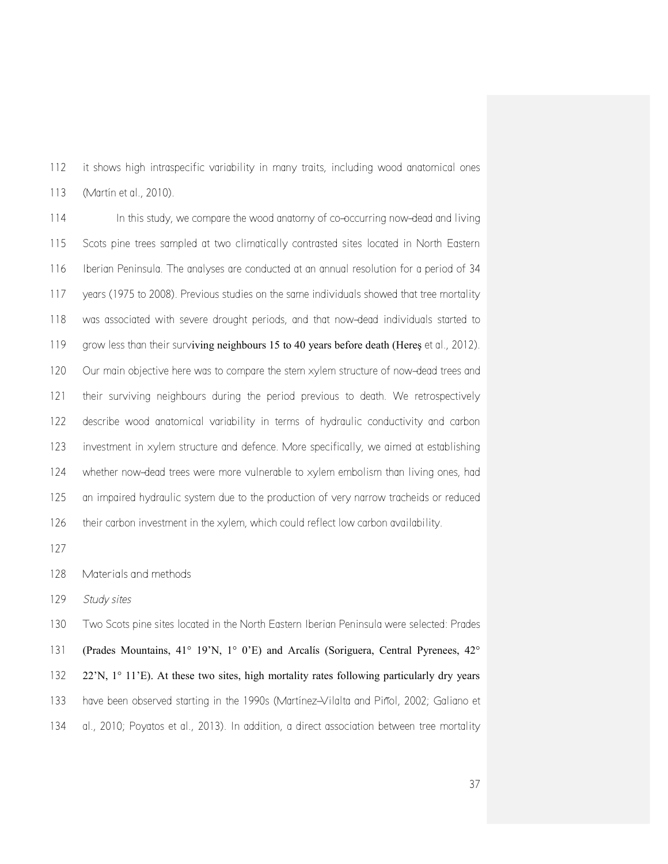it shows high intraspecific variability in many traits, including wood anatomical ones (Martín et al., 2010).

 In this study, we compare the wood anatomy of co-occurring now-dead and living Scots pine trees sampled at two climatically contrasted sites located in North Eastern Iberian Peninsula. The analyses are conducted at an annual resolution for a period of 34 years (1975 to 2008). Previous studies on the same individuals showed that tree mortality was associated with severe drought periods, and that now-dead individuals started to 119 grow less than their surviving neighbours 15 to 40 years before death (Heres et al., 2012). Our main objective here was to compare the stem xylem structure of now-dead trees and their surviving neighbours during the period previous to death. We retrospectively describe wood anatomical variability in terms of hydraulic conductivity and carbon investment in xylem structure and defence. More specifically, we aimed at establishing whether now-dead trees were more vulnerable to xylem embolism than living ones, had an impaired hydraulic system due to the production of very narrow tracheids or reduced their carbon investment in the xylem, which could reflect low carbon availability.

Materials and methods

*Study sites*

 Two Scots pine sites located in the North Eastern Iberian Peninsula were selected: Prades (Prades Mountains, 41° 19'N, 1° 0'E) and Arcalís (Soriguera, Central Pyrenees, 42° 22'N, 1° 11'E). At these two sites, high mortality rates following particularly dry years 133 have been observed starting in the 1990s (Martínez-Vilalta and Piñol, 2002; Galiano et al., 2010; Poyatos et al., 2013). In addition, a direct association between tree mortality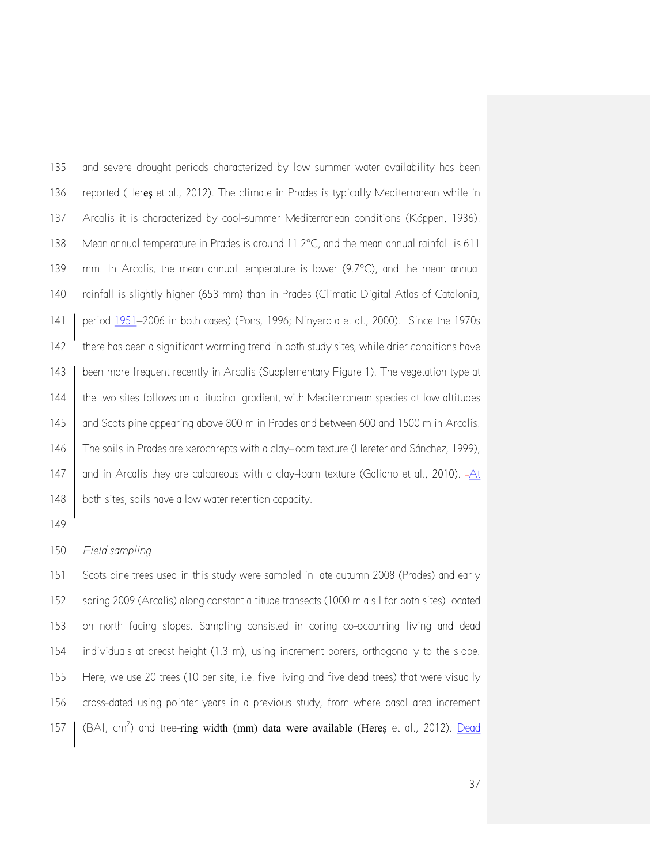and severe drought periods characterized by low summer water availability has been reported (Hereş et al., 2012). The climate in Prades is typically Mediterranean while in Arcalís it is characterized by cool-summer Mediterranean conditions (Köppen, 1936). 138 Mean annual temperature in Prades is around 11.2°C, and the mean annual rainfall is 611 139 mm. In Arcalís, the mean annual temperature is lower  $(9.7^{\circ}C)$ , and the mean annual rainfall is slightly higher (653 mm) than in Prades (Climatic Digital Atlas of Catalonia, 141 | period 1951–2006 in both cases) (Pons, 1996; Ninyerola et al., 2000). Since the 1970s there has been a significant warming trend in both study sites, while drier conditions have 143 | been more frequent recently in Arcalís (Supplementary Figure 1). The vegetation type at 144 the two sites follows an altitudinal gradient, with Mediterranean species at low altitudes 145 | and Scots pine appearing above 800 m in Prades and between 600 and 1500 m in Arcalís. The soils in Prades are xerochrepts with a clay-loam texture (Hereter and Sánchez, 1999), 147  $\parallel$  and in Arcalís they are calcareous with a clay-loam texture (Galiano et al., 2010).  $-At$ 148 both sites, soils have a low water retention capacity.

## 

### *Field sampling*

 Scots pine trees used in this study were sampled in late autumn 2008 (Prades) and early spring 2009 (Arcalís) along constant altitude transects (1000 m a.s.l for both sites) located on north facing slopes. Sampling consisted in coring co-occurring living and dead individuals at breast height (1.3 m), using increment borers, orthogonally to the slope. Here, we use 20 trees (10 per site, i.e. five living and five dead trees) that were visually cross-dated using pointer years in a previous study, from where basal area increment 157 | (BAI, cm<sup>2</sup>) and tree-ring width (mm) data were available (Hereş et al., 2012). Dead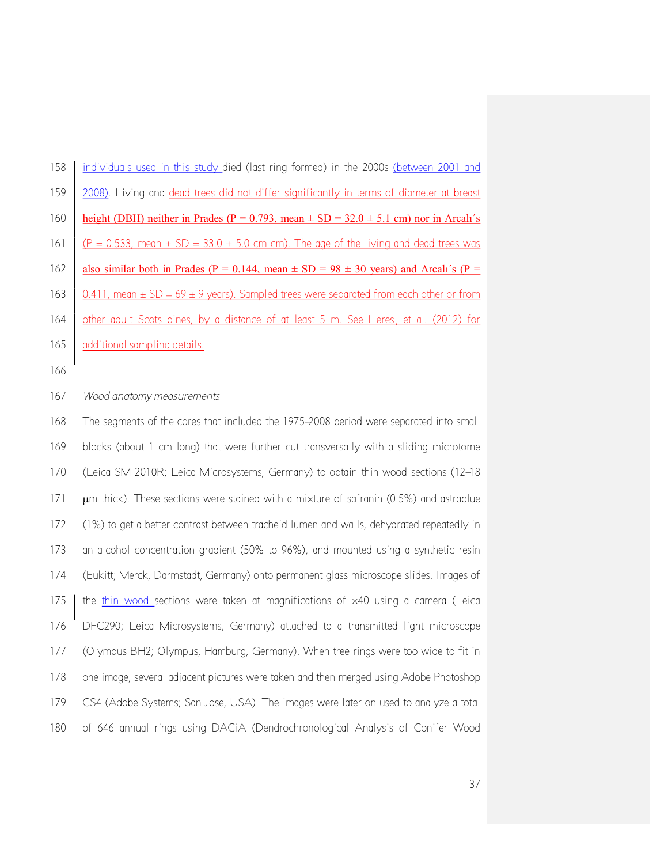| 158 | individuals used in this study died (last ring formed) in the 2000s (between 2001 and           |
|-----|-------------------------------------------------------------------------------------------------|
| 159 | 2008). Living and dead trees did not differ significantly in terms of diameter at breast        |
| 160 | height (DBH) neither in Prades ( $P = 0.793$ , mean $\pm SD = 32.0 \pm 5.1$ cm) nor in Arcali's |
| 161 | $(P = 0.533$ , mean $\pm$ SD = 33.0 $\pm$ 5.0 cm cm). The age of the living and dead trees was  |
| 162 | also similar both in Prades (P = 0.144, mean $\pm$ SD = 98 $\pm$ 30 years) and Arcali's (P =    |
|     |                                                                                                 |
| 163 | 0.411, mean $\pm$ SD = 69 $\pm$ 9 years). Sampled trees were separated from each other or from  |
| 164 | other adult Scots pines, by a distance of at least 5 m. See Heres, et al. (2012) for            |
| 165 | additional sampling details.                                                                    |

# *Wood anatomy measurements*

 The segments of the cores that included the 1975-2008 period were separated into small blocks (about 1 cm long) that were further cut transversally with a sliding microtome (Leica SM 2010R; Leica Microsystems, Germany) to obtain thin wood sections (12-18  $\mu$ m thick). These sections were stained with a mixture of safranin (0.5%) and astrablue (1%) to get a better contrast between tracheid lumen and walls, dehydrated repeatedly in an alcohol concentration gradient (50% to 96%), and mounted using a synthetic resin (Eukitt; Merck, Darmstadt, Germany) onto permanent glass microscope slides. Images of 175 the thin wood sections were taken at magnifications of  $\times$ 40 using a camera (Leica DFC290; Leica Microsystems, Germany) attached to a transmitted light microscope (Olympus BH2; Olympus, Hamburg, Germany). When tree rings were too wide to fit in one image, several adjacent pictures were taken and then merged using Adobe Photoshop CS4 (Adobe Systems; San Jose, USA). The images were later on used to analyze a total of 646 annual rings using DACiA (Dendrochronological Analysis of Conifer Wood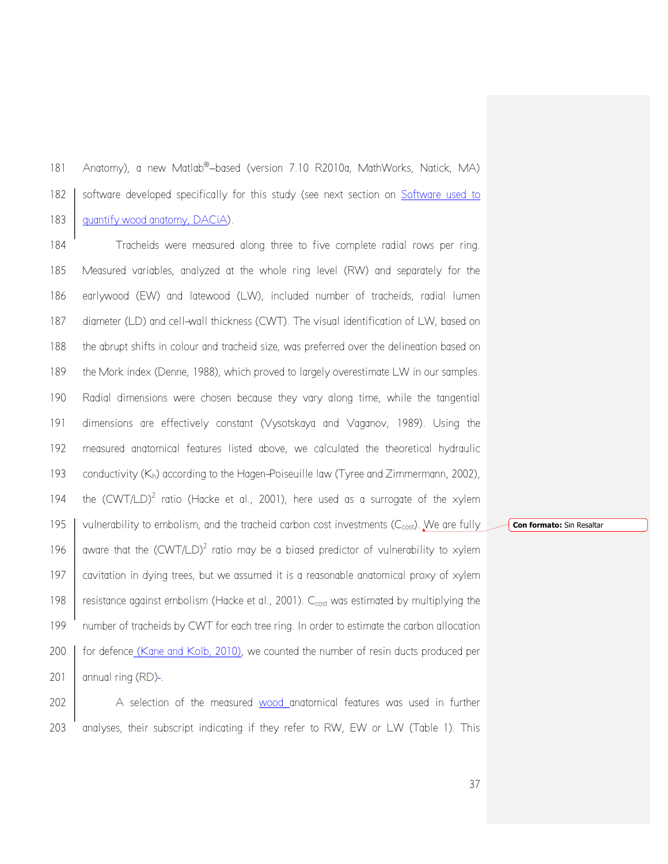181 Anatomy), a new Matlab®-based (version 7.10 R2010a, MathWorks, Natick, MA) 182 Software developed specifically for this study (see next section on Software used to 183 | quantify wood anatomy, DACiA).

 Tracheids were measured along three to five complete radial rows per ring. Measured variables, analyzed at the whole ring level (RW) and separately for the earlywood (EW) and latewood (LW), included number of tracheids, radial lumen diameter (LD) and cell-wall thickness (CWT). The visual identification of LW, based on the abrupt shifts in colour and tracheid size, was preferred over the delineation based on 189 the Mork index (Denne, 1988), which proved to largely overestimate LW in our samples. Radial dimensions were chosen because they vary along time, while the tangential dimensions are effectively constant (Vysotskaya and Vaganov, 1989). Using the measured anatomical features listed above, we calculated the theoretical hydraulic 193 conductivity  $(K_h)$  according to the Hagen-Poiseuille law (Tyree and Zimmermann, 2002), 194 the  $(CWT/LD)^2$  ratio (Hacke et al., 2001), here used as a surrogate of the xylem 195 vulnerability to embolism, and the tracheid carbon cost investments ( $C_{cost}$ ). We are fully 196 aware that the  $(CWT/LD)^2$  ratio may be a biased predictor of vulnerability to xylem cavitation in dying trees, but we assumed it is a reasonable anatomical proxy of xylem  $\parallel$  resistance against embolism (Hacke et al., 2001).  $C_{cost}$  was estimated by multiplying the number of tracheids by CWT for each tree ring. In order to estimate the carbon allocation 200 for defence (Kane and Kolb, 2010), we counted the number of resin ducts produced per annual ring (RD)-.

202 A selection of the measured wood anatomical features was used in further 203 analyses, their subscript indicating if they refer to RW, EW or LW (Table 1). This **Con formato:** Sin Resaltar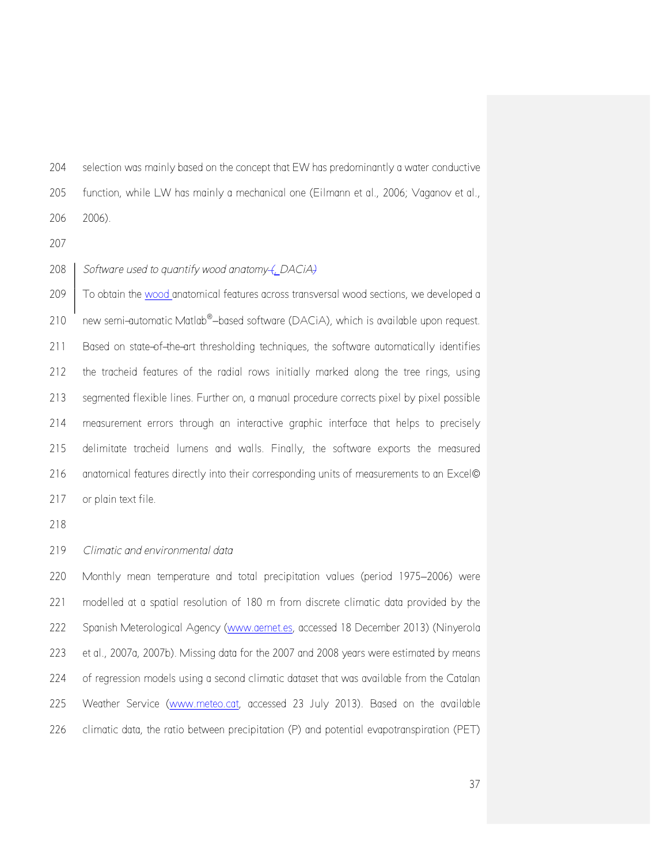selection was mainly based on the concept that EW has predominantly a water conductive

function, while LW has mainly a mechanical one (Eilmann et al., 2006; Vaganov et al.,

2006).

*Software used to quantify wood anatomy (, DACiA)*

 To obtain the wood anatomical features across transversal wood sections, we developed a 210 new semi-automatic Matlab®-based software (DACiA), which is available upon request. Based on state-of-the-art thresholding techniques, the software automatically identifies the tracheid features of the radial rows initially marked along the tree rings, using segmented flexible lines. Further on, a manual procedure corrects pixel by pixel possible measurement errors through an interactive graphic interface that helps to precisely delimitate tracheid lumens and walls. Finally, the software exports the measured 216 anatomical features directly into their corresponding units of measurements to an Excel© 217 or plain text file.

*Climatic and environmental data*

220 Monthly mean temperature and total precipitation values (period 1975-2006) were modelled at a spatial resolution of 180 m from discrete climatic data provided by the Spanish Meterological Agency [\(www.aemet.es,](http://www.aemet.es/) accessed 18 December 2013) (Ninyerola et al., 2007a, 2007b). Missing data for the 2007 and 2008 years were estimated by means 224 of regression models using a second climatic dataset that was available from the Catalan Weather Service [\(www.meteo.cat,](http://www.meteo.cat/) accessed 23 July 2013). Based on the available climatic data, the ratio between precipitation (P) and potential evapotranspiration (PET)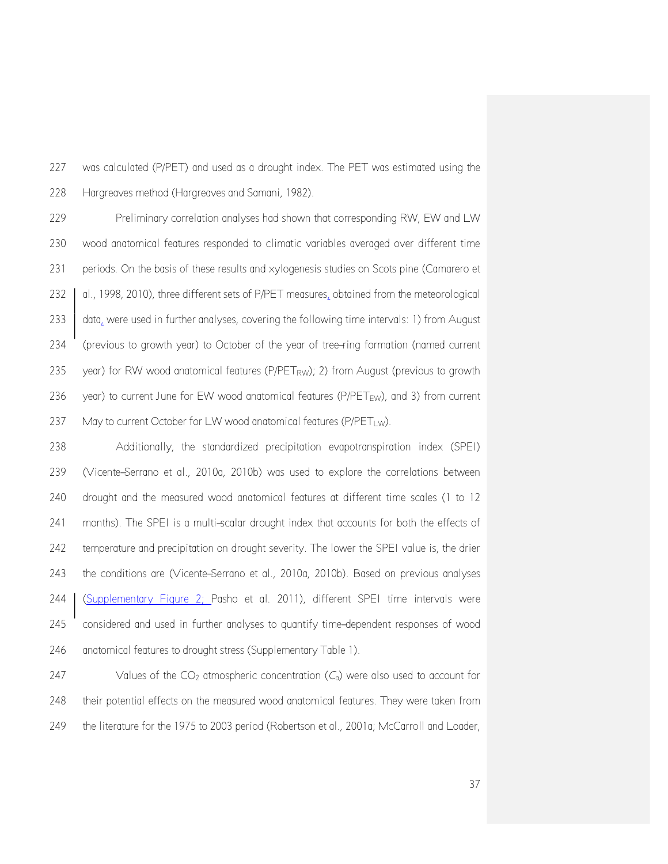was calculated (P/PET) and used as a drought index. The PET was estimated using the Hargreaves method (Hargreaves and Samani, 1982).

 Preliminary correlation analyses had shown that corresponding RW, EW and LW wood anatomical features responded to climatic variables averaged over different time periods. On the basis of these results and xylogenesis studies on Scots pine (Camarero et 232 al., 1998, 2010), three different sets of P/PET measures, obtained from the meteorological 233 data, were used in further analyses, covering the following time intervals: 1) from August (previous to growth year) to October of the year of tree-ring formation (named current 235 year) for RW wood anatomical features ( $P/PET<sub>RW</sub>$ ); 2) from August (previous to growth 236 year) to current June for EW wood anatomical features ( $P/PET_{EW}$ ), and 3) from current 237 May to current October for LW wood anatomical features (P/PET<sub>LW</sub>).

 Additionally, the standardized precipitation evapotranspiration index (SPEI) (Vicente-Serrano et al., 2010a, 2010b) was used to explore the correlations between drought and the measured wood anatomical features at different time scales (1 to 12 months). The SPEI is a multi-scalar drought index that accounts for both the effects of temperature and precipitation on drought severity. The lower the SPEI value is, the drier the conditions are (Vicente-Serrano et al., 2010a, 2010b). Based on previous analyses (Supplementary Figure 2; Pasho et al. 2011), different SPEI time intervals were considered and used in further analyses to quantify time-dependent responses of wood 246 anatomical features to drought stress (Supplementary Table 1).

247 Values of the  $CO<sub>2</sub>$  atmospheric concentration  $(C<sub>a</sub>)$  were also used to account for their potential effects on the measured wood anatomical features. They were taken from 249 the literature for the 1975 to 2003 period (Robertson et al., 2001a; McCarroll and Loader,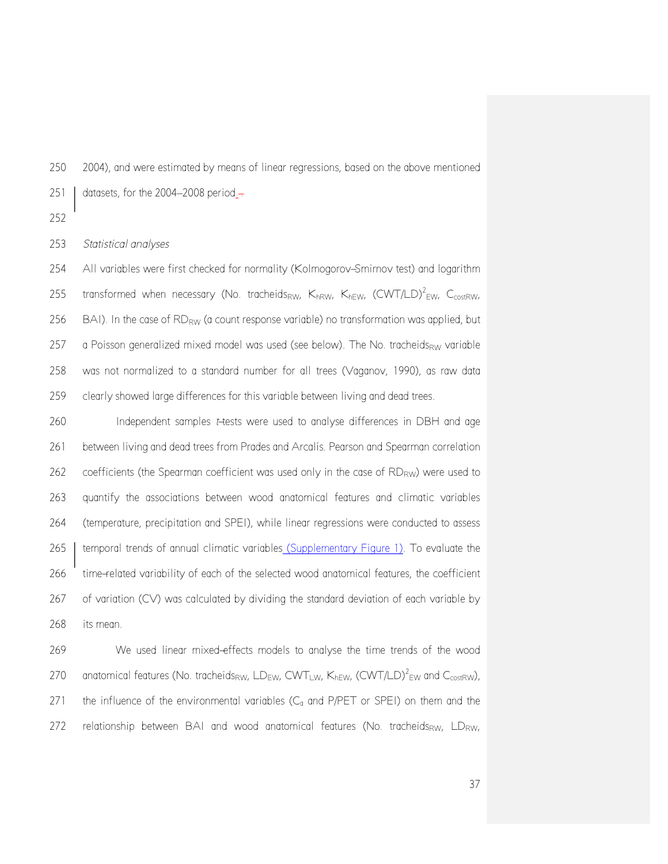2004), and were estimated by means of linear regressions, based on the above mentioned 251  $\vert$  datasets, for the 2004–2008 period.-

#### *Statistical analyses*

 All variables were first checked for normality (Kolmogorov-Smirnov test) and logarithm 255 transformed when necessary (No. tracheids<sub>RW</sub>, K<sub>hRW</sub>, K<sub>hFW</sub>, (CWT/LD)<sup>2</sup><sub>FW</sub>, C<sub>costRW</sub>, 256 BAI). In the case of  $RD_{RW}$  (a count response variable) no transformation was applied, but 257 a Poisson generalized mixed model was used (see below). The No. tracheids<sub>RW</sub> variable was not normalized to a standard number for all trees (Vaganov, 1990), as raw data clearly showed large differences for this variable between living and dead trees.

 Independent samples *t*-tests were used to analyse differences in DBH and age between living and dead trees from Prades and Arcalís. Pearson and Spearman correlation coefficients (the Spearman coefficient was used only in the case of  $RD<sub>RW</sub>$ ) were used to quantify the associations between wood anatomical features and climatic variables (temperature, precipitation and SPEI), while linear regressions were conducted to assess 265 | temporal trends of annual climatic variables (Supplementary Figure 1). To evaluate the time-related variability of each of the selected wood anatomical features, the coefficient of variation (CV) was calculated by dividing the standard deviation of each variable by its mean.

 We used linear mixed-effects models to analyse the time trends of the wood 270 anatomical features (No. tracheids<sub>RW</sub>, LD<sub>EW</sub>, CWT<sub>LW</sub>, K<sub>hEW</sub>, (CWT/LD)<sup>2</sup><sub>EW</sub> and C<sub>costRW</sub>), 271 the influence of the environmental variables  $(C<sub>a</sub>$  and P/PET or SPEI) on them and the 272 relationship between BAI and wood anatomical features (No. tracheids<sub>RW</sub>, LD<sub>RW</sub>,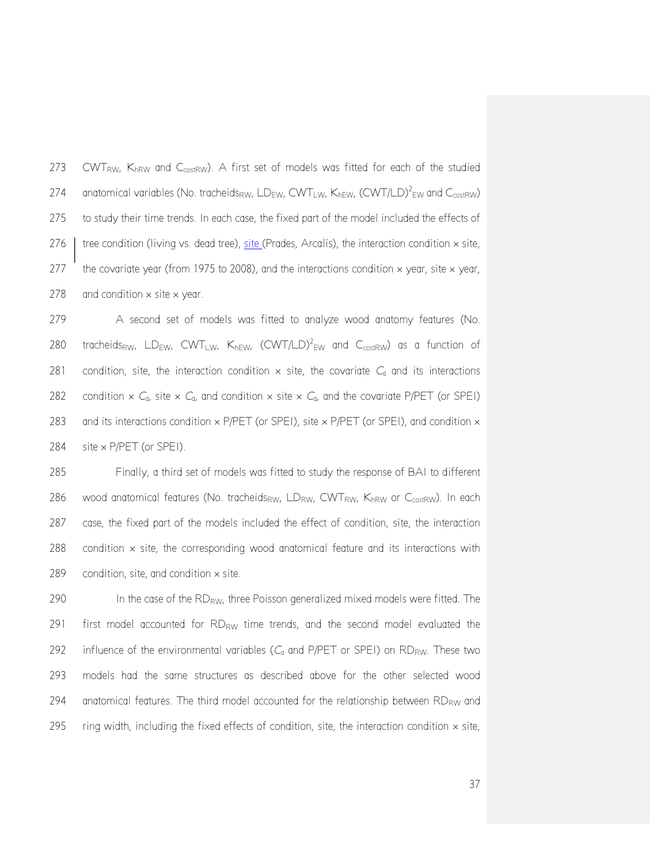273 CWTRW, KhRW and C<sub>costRW</sub>). A first set of models was fitted for each of the studied 274 anatomical variables (No. tracheids<sub>RW</sub>, LD<sub>EW</sub>, CWT<sub>LW</sub>, K<sub>hEW</sub>, (CWT/LD)<sup>2</sup><sub>EW</sub> and C<sub>costRW</sub>) 275 to study their time trends. In each case, the fixed part of the model included the effects of 276  $\mid$  tree condition (living vs. dead tree), site (Prades, Arcalís), the interaction condition  $\times$  site, 277 the covariate year (from 1975 to 2008), and the interactions condition  $\times$  year, site  $\times$  year, 278 and condition  $\times$  site  $\times$  year.

279 A second set of models was fitted to analyze wood anatomy features (No. 280 tracheids<sub>RW</sub>, LD<sub>EW</sub>, CWT<sub>LW</sub>, K<sub>hEW</sub>, (CWT/LD)<sup>2</sup><sub>EW</sub> and C<sub>costRW</sub>) as a function of 281 condition, site, the interaction condition  $\times$  site, the covariate  $C_a$  and its interactions 282 condition  $\times$  *C*<sub>a</sub>, site  $\times$  *C*<sub>a</sub>, and condition  $\times$  site  $\times$  *C*<sub>a</sub>, and the covariate P/PET (or SPEI) 283 and its interactions condition  $\times$  P/PET (or SPEI), site  $\times$  P/PET (or SPEI), and condition  $\times$ 284 site × P/PET (or SPEI).

285 Finally, a third set of models was fitted to study the response of BAI to different 286 wood anatomical features (No. tracheids<sub>RW</sub>, LD<sub>RW</sub>, CWT<sub>RW</sub>, K<sub>hRW</sub> or C<sub>costRW</sub>). In each 287 case, the fixed part of the models included the effect of condition, site, the interaction 288 condition  $\times$  site, the corresponding wood anatomical feature and its interactions with 289 condition, site, and condition  $\times$  site.

290 In the case of the RD<sub>RW</sub>, three Poisson generalized mixed models were fitted. The 291 first model accounted for  $RD_{RW}$  time trends, and the second model evaluated the 292 influence of the environmental variables  $(C_a$  and P/PET or SPEI) on RD<sub>RW</sub>. These two 293 models had the same structures as described above for the other selected wood 294 anatomical features. The third model accounted for the relationship between  $RD_{RW}$  and 295 ring width, including the fixed effects of condition, site, the interaction condition  $\times$  site,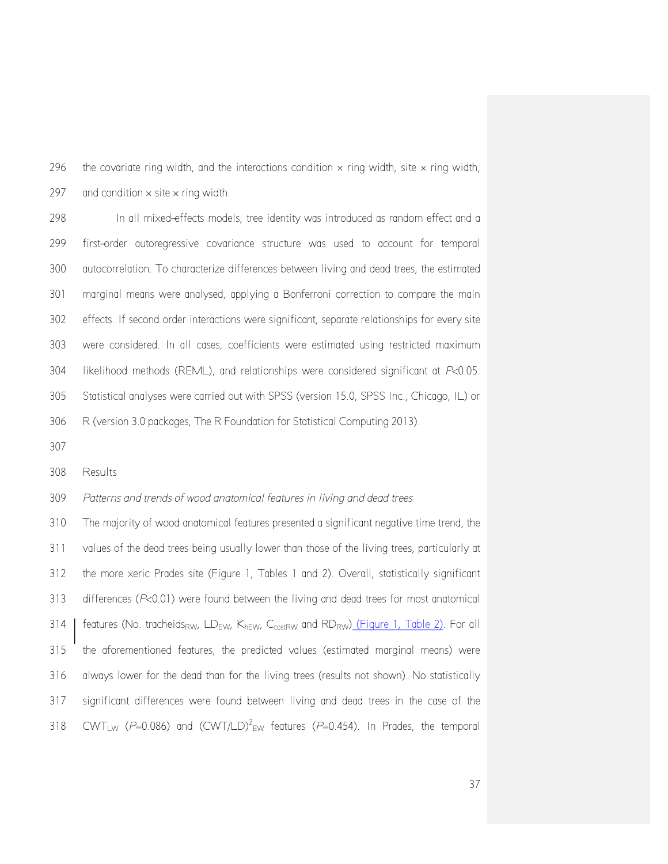296 the covariate ring width, and the interactions condition  $\times$  ring width, site  $\times$  ring width, 297 and condition  $\times$  site  $\times$  ring width.

 In all mixed-effects models, tree identity was introduced as random effect and a first-order autoregressive covariance structure was used to account for temporal autocorrelation. To characterize differences between living and dead trees, the estimated marginal means were analysed, applying a Bonferroni correction to compare the main effects. If second order interactions were significant, separate relationships for every site were considered. In all cases, coefficients were estimated using restricted maximum likelihood methods (REML), and relationships were considered significant at *P*<0.05. Statistical analyses were carried out with SPSS (version 15.0, SPSS Inc., Chicago, IL) or R (version 3.0 packages, The R Foundation for Statistical Computing 2013).

Results

## *Patterns and trends of wood anatomical features in living and dead trees*

 The majority of wood anatomical features presented a significant negative time trend, the values of the dead trees being usually lower than those of the living trees, particularly at the more xeric Prades site (Figure 1, Tables 1 and 2). Overall, statistically significant differences (*P*<0.01) were found between the living and dead trees for most anatomical 314 | features (No. tracheids<sub>RW</sub>, LD<sub>EW</sub>, K<sub>hEW</sub>, C<sub>costRW</sub> and RD<sub>RW</sub>) (Figure 1, Table 2). For all the aforementioned features, the predicted values (estimated marginal means) were always lower for the dead than for the living trees (results not shown). No statistically significant differences were found between living and dead trees in the case of the 318 CWT<sub>LW</sub> ( $P=0.086$ ) and (CWT/LD)<sup>2</sup><sub>EW</sub> features ( $P=0.454$ ). In Prades, the temporal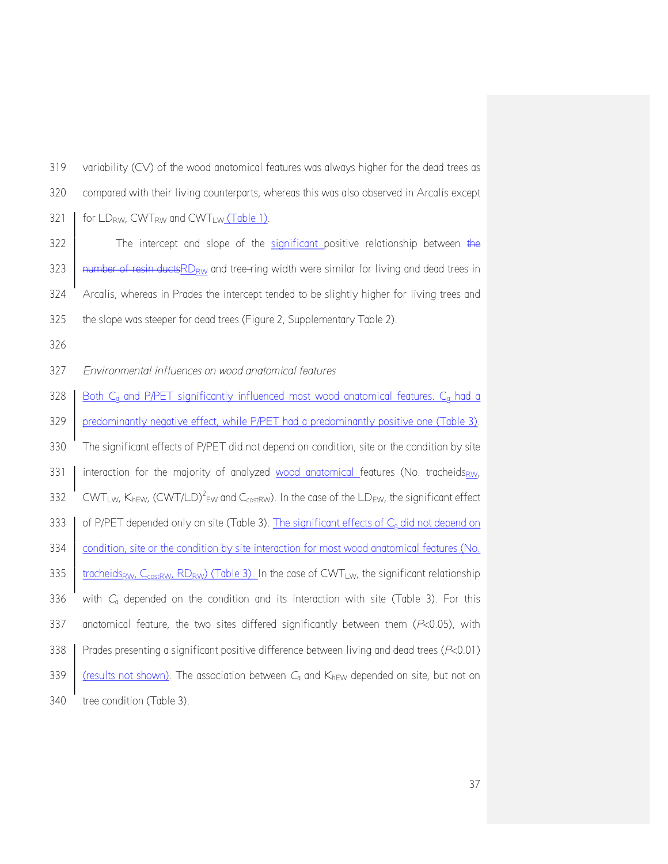| 319 | variability $(CV)$ of the wood anatomical features was always higher for the dead trees as                                                                         |
|-----|--------------------------------------------------------------------------------------------------------------------------------------------------------------------|
| 320 | compared with their living counterparts, whereas this was also observed in Arcalís except                                                                          |
| 321 | for LD <sub>RW</sub> , CWT <sub>RW</sub> and CWT <sub>LW</sub> (Table 1).                                                                                          |
| 322 | The intercept and slope of the significant positive relationship between the                                                                                       |
| 323 | number of resin ductsRD <sub>RW</sub> and tree-ring width were similar for living and dead trees in                                                                |
| 324 | Arcalís, whereas in Prades the intercept tended to be slightly higher for living trees and                                                                         |
| 325 | the slope was steeper for dead trees (Figure 2, Supplementary Table 2).                                                                                            |
| 326 |                                                                                                                                                                    |
| 327 | Environmental influences on wood anatomical features                                                                                                               |
| 328 | Both C <sub>a</sub> and P/PET significantly influenced most wood anatomical features. C <sub>a</sub> had a                                                         |
| 329 | predominantly negative effect, while P/PET had a predominantly positive one (Table 3).                                                                             |
| 330 | The significant effects of P/PET did not depend on condition, site or the condition by site                                                                        |
| 331 | interaction for the majority of analyzed wood anatomical features (No. tracheidsRw,                                                                                |
| 332 | CWT <sub>LW</sub> , K <sub>hEW</sub> , (CWT/LD) <sup>2</sup> <sub>EW</sub> and C <sub>costRW</sub> ). In the case of the LD <sub>EW</sub> , the significant effect |
| 333 | of P/PET depended only on site (Table 3). The significant effects of C <sub>a</sub> did not depend on                                                              |
| 334 | condition, site or the condition by site interaction for most wood anatomical features (No.                                                                        |
| 335 | tracheids <sub>RW</sub> , C <sub>costRW</sub> , RD <sub>RW</sub> ) (Table 3). In the case of CWT <sub>LW</sub> , the significant relationship                      |
| 336 | with $C_{q}$ depended on the condition and its interaction with site (Table 3). For this                                                                           |
| 337 | anatomical feature, the two sites differed significantly between them (P<0.05), with                                                                               |
| 338 | Prades presenting a significant positive difference between living and dead trees (P<0.01)                                                                         |
| 339 | (results not shown). The association between $C_0$ and $K_{hEW}$ depended on site, but not on                                                                      |
| 340 | tree condition (Table 3).                                                                                                                                          |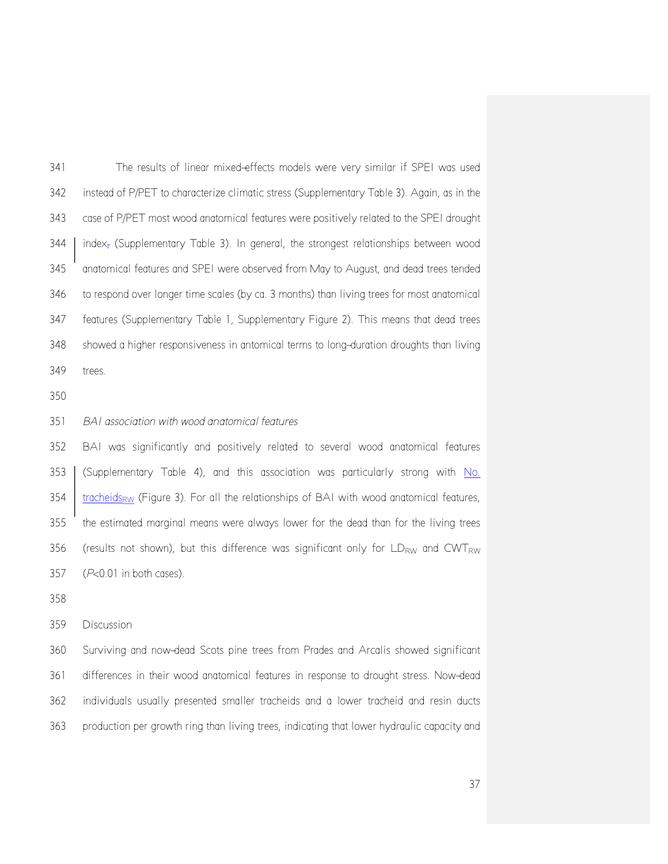The results of linear mixed-effects models were very similar if SPEI was used instead of P/PET to characterize climatic stress (Supplementary Table 3). Again, as in the case of P/PET most wood anatomical features were positively related to the SPEI drought index<sub>z</sub> (Supplementary Table 3). In general, the strongest relationships between wood anatomical features and SPEI were observed from May to August, and dead trees tended to respond over longer time scales (by ca. 3 months) than living trees for most anatomical features (Supplementary Table 1, Supplementary Figure 2). This means that dead trees showed a higher responsiveness in antomical terms to long-duration droughts than living trees.

# *BAI association with wood anatomical features*

 BAI was significantly and positively related to several wood anatomical features (Supplementary Table 4), and this association was particularly strong with No.  $\frac{1}{10}$  tracheids<sub>RW</sub> (Figure 3). For all the relationships of BAI with wood anatomical features, the estimated marginal means were always lower for the dead than for the living trees 356 (results not shown), but this difference was significant only for  $LD_{RW}$  and  $CWT_{RW}$ (*P*<0.01 in both cases).

### Discussion

 Surviving and now-dead Scots pine trees from Prades and Arcalís showed significant differences in their wood anatomical features in response to drought stress. Now-dead individuals usually presented smaller tracheids and a lower tracheid and resin ducts production per growth ring than living trees, indicating that lower hydraulic capacity and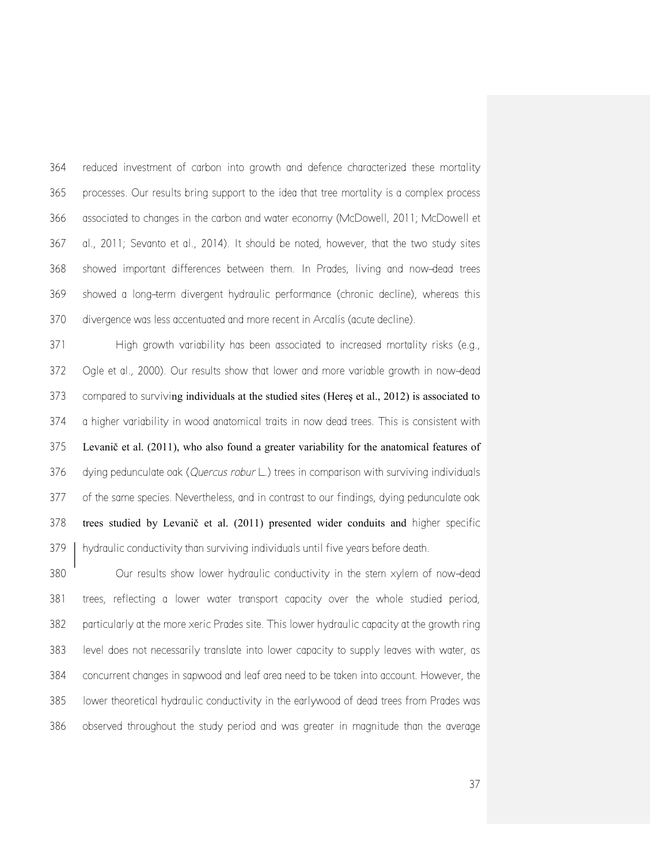reduced investment of carbon into growth and defence characterized these mortality processes. Our results bring support to the idea that tree mortality is a complex process associated to changes in the carbon and water economy (McDowell, 2011; McDowell et al., 2011; Sevanto et al., 2014). It should be noted, however, that the two study sites showed important differences between them. In Prades, living and now-dead trees showed a long-term divergent hydraulic performance (chronic decline), whereas this divergence was less accentuated and more recent in Arcalís (acute decline).

 High growth variability has been associated to increased mortality risks (e.g., Ogle et al., 2000). Our results show that lower and more variable growth in now-dead compared to surviving individuals at the studied sites (Hereş et al., 2012) is associated to a higher variability in wood anatomical traits in now dead trees. This is consistent with Levanič et al. (2011), who also found a greater variability for the anatomical features of dying pedunculate oak (*Quercus robur* L.) trees in comparison with surviving individuals 377 of the same species. Nevertheless, and in contrast to our findings, dying pedunculate oak trees studied by Levanič et al. (2011) presented wider conduits and higher specific hydraulic conductivity than surviving individuals until five years before death.

 Our results show lower hydraulic conductivity in the stem xylem of now-dead trees, reflecting a lower water transport capacity over the whole studied period, particularly at the more xeric Prades site. This lower hydraulic capacity at the growth ring level does not necessarily translate into lower capacity to supply leaves with water, as concurrent changes in sapwood and leaf area need to be taken into account. However, the lower theoretical hydraulic conductivity in the earlywood of dead trees from Prades was observed throughout the study period and was greater in magnitude than the average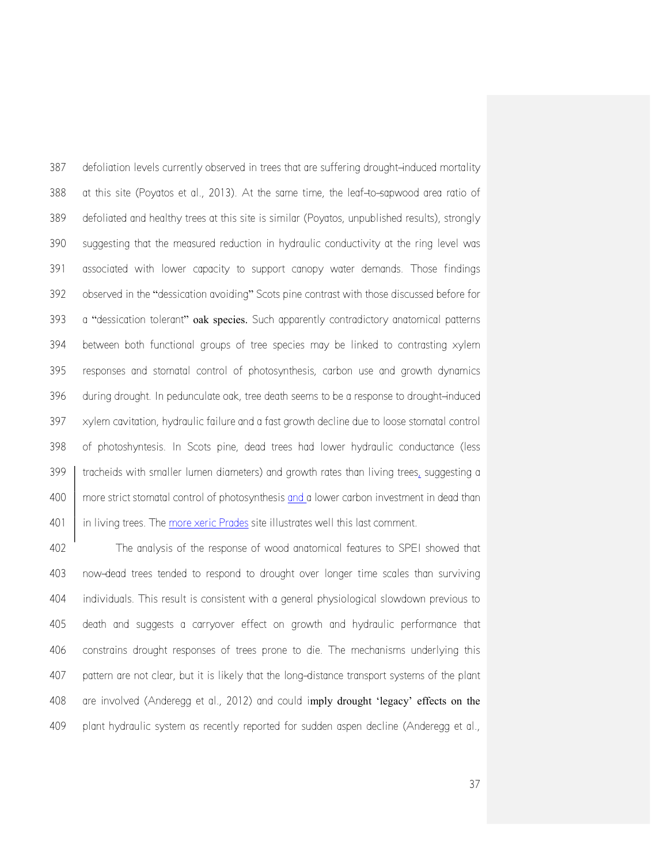387 defoliation levels currently observed in trees that are suffering drought-induced mortality at this site (Poyatos et al., 2013). At the same time, the leaf-to-sapwood area ratio of defoliated and healthy trees at this site is similar (Poyatos, unpublished results), strongly suggesting that the measured reduction in hydraulic conductivity at the ring level was associated with lower capacity to support canopy water demands. Those findings observed in the "dessication avoiding" Scots pine contrast with those discussed before for a "dessication tolerant" oak species. Such apparently contradictory anatomical patterns between both functional groups of tree species may be linked to contrasting xylem responses and stomatal control of photosynthesis, carbon use and growth dynamics 396 during drought. In pedunculate oak, tree death seems to be a response to drought-induced xylem cavitation, hydraulic failure and a fast growth decline due to loose stomatal control of photoshyntesis. In Scots pine, dead trees had lower hydraulic conductance (less tracheids with smaller lumen diameters) and growth rates than living trees, suggesting a more strict stomatal control of photosynthesis and a lower carbon investment in dead than 401 | in living trees. The more xeric Prades site illustrates well this last comment.

 The analysis of the response of wood anatomical features to SPEI showed that now-dead trees tended to respond to drought over longer time scales than surviving individuals. This result is consistent with a general physiological slowdown previous to death and suggests a carryover effect on growth and hydraulic performance that constrains drought responses of trees prone to die. The mechanisms underlying this pattern are not clear, but it is likely that the long-distance transport systems of the plant are involved (Anderegg et al., 2012) and could imply drought 'legacy' effects on the plant hydraulic system as recently reported for sudden aspen decline (Anderegg et al.,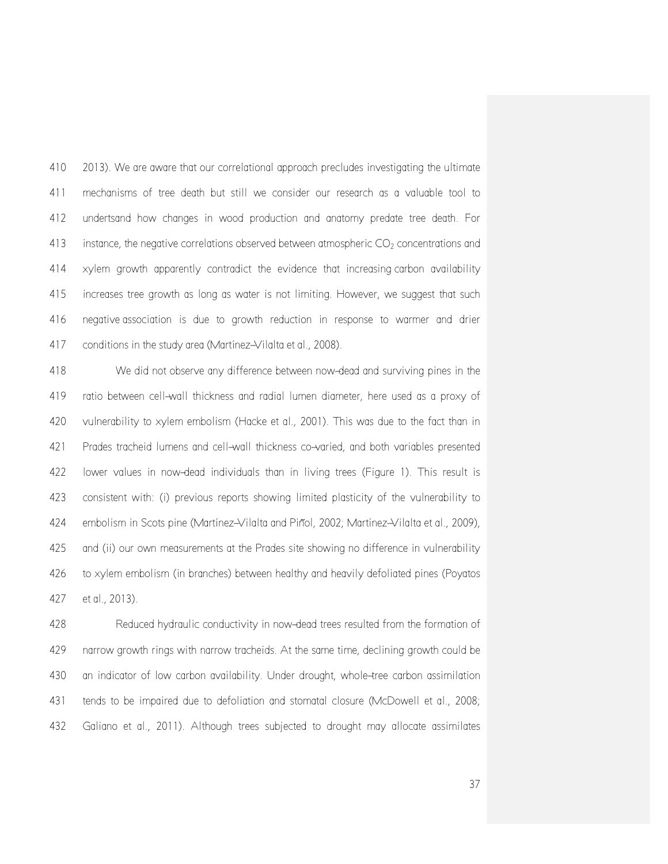2013). We are aware that our correlational approach precludes investigating the ultimate mechanisms of tree death but still we consider our research as a valuable tool to undertsand how changes in wood production and anatomy predate tree death. For 413 instance, the negative correlations observed between atmospheric  $CO<sub>2</sub>$  concentrations and xylem growth apparently contradict the evidence that increasing carbon availability increases tree growth as long as water is not limiting. However, we suggest that such negative association is due to growth reduction in response to warmer and drier 417 conditions in the study area (Martínez-Vilalta et al., 2008).

 We did not observe any difference between now-dead and surviving pines in the ratio between cell-wall thickness and radial lumen diameter, here used as a proxy of vulnerability to xylem embolism (Hacke et al., 2001). This was due to the fact than in Prades tracheid lumens and cell-wall thickness co-varied, and both variables presented lower values in now-dead individuals than in living trees (Figure 1). This result is consistent with: (i) previous reports showing limited plasticity of the vulnerability to embolism in Scots pine (Martínez-Vilalta and Piñol, 2002; Martínez-Vilalta et al., 2009), and (ii) our own measurements at the Prades site showing no difference in vulnerability to xylem embolism (in branches) between healthy and heavily defoliated pines (Poyatos et al., 2013).

 Reduced hydraulic conductivity in now-dead trees resulted from the formation of narrow growth rings with narrow tracheids. At the same time, declining growth could be an indicator of low carbon availability. Under drought, whole-tree carbon assimilation tends to be impaired due to defoliation and stomatal closure (McDowell et al., 2008; Galiano et al., 2011). Although trees subjected to drought may allocate assimilates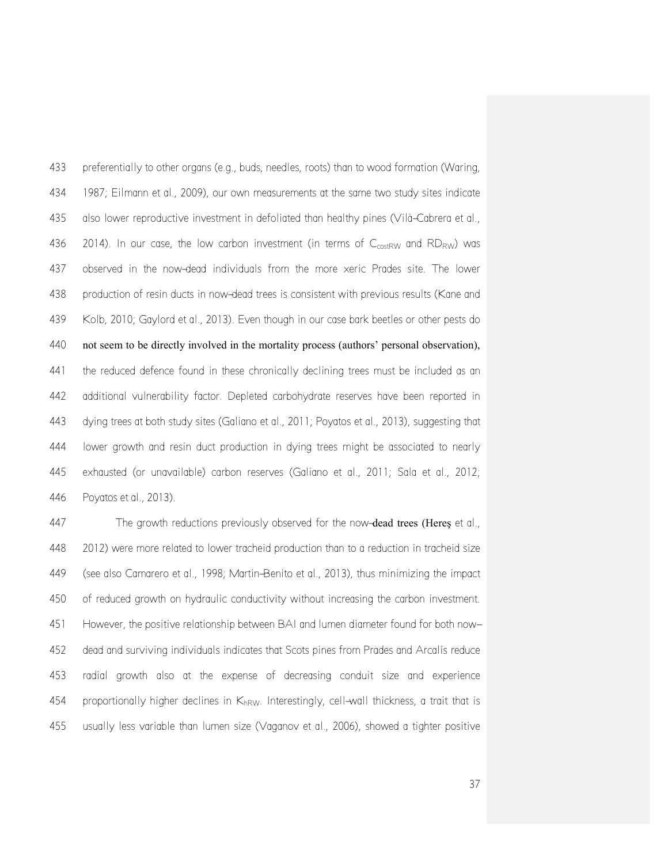preferentially to other organs (e.g., buds, needles, roots) than to wood formation (Waring, 1987; Eilmann et al., 2009), our own measurements at the same two study sites indicate also lower reproductive investment in defoliated than healthy pines (Vilà-Cabrera et al., 436 2014). In our case, the low carbon investment (in terms of  $C_{\text{costRW}}$  and  $RD_{RW}$ ) was observed in the now-dead individuals from the more xeric Prades site. The lower production of resin ducts in now-dead trees is consistent with previous results (Kane and Kolb, 2010; Gaylord et al., 2013). Even though in our case bark beetles or other pests do not seem to be directly involved in the mortality process (authors' personal observation), the reduced defence found in these chronically declining trees must be included as an additional vulnerability factor. Depleted carbohydrate reserves have been reported in dying trees at both study sites (Galiano et al., 2011; Poyatos et al., 2013), suggesting that lower growth and resin duct production in dying trees might be associated to nearly exhausted (or unavailable) carbon reserves (Galiano et al., 2011; Sala et al., 2012; Poyatos et al., 2013).

447 The growth reductions previously observed for the now-dead trees (Heres et al., 2012) were more related to lower tracheid production than to a reduction in tracheid size (see also Camarero et al., 1998; Martin-Benito et al., 2013), thus minimizing the impact of reduced growth on hydraulic conductivity without increasing the carbon investment. However, the positive relationship between BAI and lumen diameter found for both now- dead and surviving individuals indicates that Scots pines from Prades and Arcalís reduce radial growth also at the expense of decreasing conduit size and experience 454 proportionally higher declines in  $K_{hRW}$ . Interestingly, cell-wall thickness, a trait that is usually less variable than lumen size (Vaganov et al., 2006), showed a tighter positive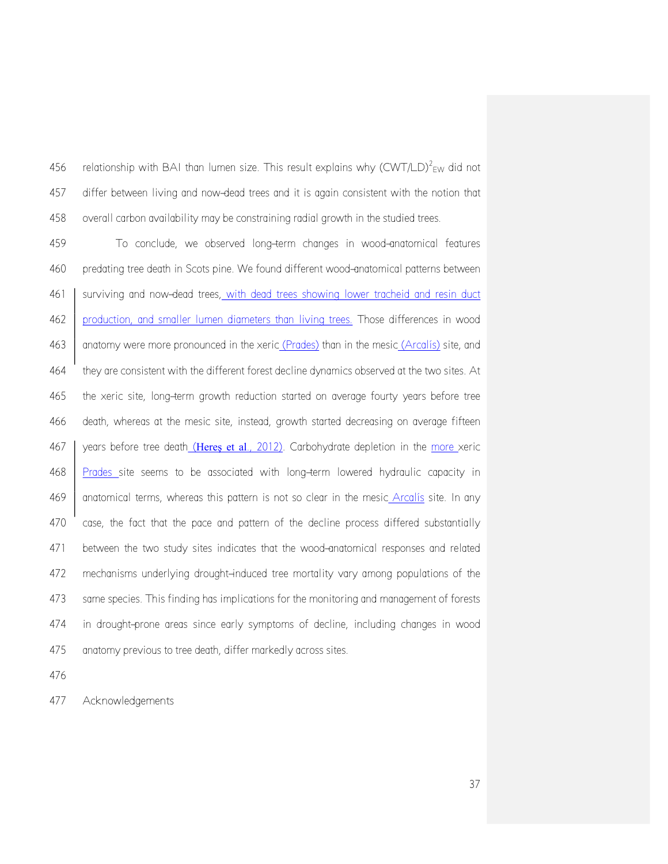456 relationship with BAI than lumen size. This result explains why (CWT/LD)<sup>2</sup> Ew did not differ between living and now-dead trees and it is again consistent with the notion that overall carbon availability may be constraining radial growth in the studied trees.

 To conclude, we observed long-term changes in wood-anatomical features predating tree death in Scots pine. We found different wood-anatomical patterns between 461 surviving and now-dead trees, with dead trees showing lower tracheid and resin duct production, and smaller lumen diameters than living trees. Those differences in wood 463 anatomy were more pronounced in the xeric (Prades) than in the mesic (Arcalís) site, and they are consistent with the different forest decline dynamics observed at the two sites. At the xeric site, long-term growth reduction started on average fourty years before tree death, whereas at the mesic site, instead, growth started decreasing on average fifteen 467 years before tree death (Heres et al., 2012). Carbohydrate depletion in the more xeric Prades site seems to be associated with long-term lowered hydraulic capacity in 469 anatomical terms, whereas this pattern is not so clear in the mesic Arcalis site. In any case, the fact that the pace and pattern of the decline process differed substantially between the two study sites indicates that the wood-anatomical responses and related mechanisms underlying drought-induced tree mortality vary among populations of the same species. This finding has implications for the monitoring and management of forests in drought-prone areas since early symptoms of decline, including changes in wood anatomy previous to tree death, differ markedly across sites.

Acknowledgements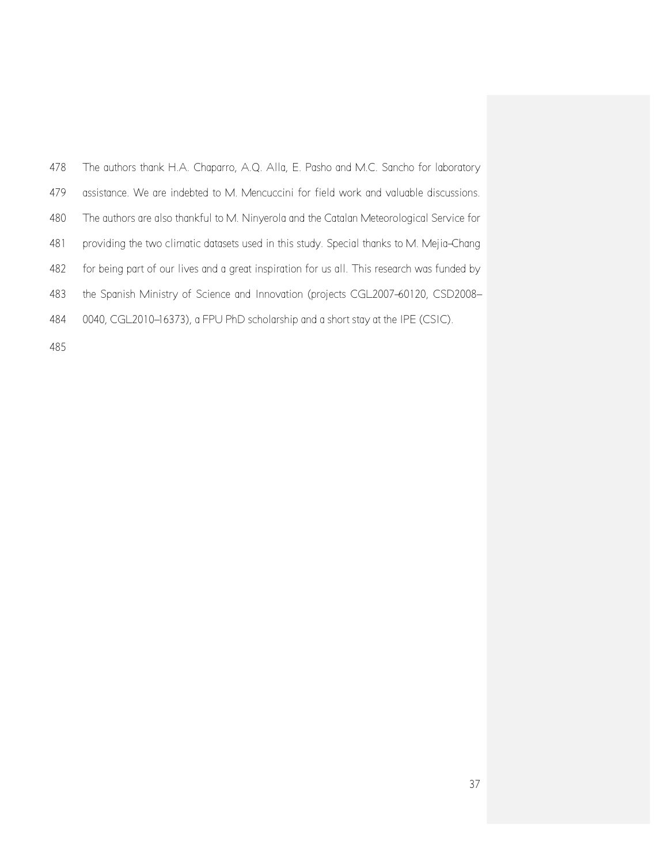| 478 | The authors thank H.A. Chaparro, A.Q. Alla, E. Pasho and M.C. Sancho for laboratory         |
|-----|---------------------------------------------------------------------------------------------|
| 479 | assistance. We are indebted to M. Mencuccini for field work and valuable discussions.       |
| 480 | The authors are also thankful to M. Ninyerola and the Catalan Meteorological Service for    |
| 481 | providing the two climatic datasets used in this study. Special thanks to M. Mejia-Chang    |
| 482 | for being part of our lives and a great inspiration for us all. This research was funded by |
| 483 | the Spanish Ministry of Science and Innovation (projects CGL2007-60120, CSD2008-            |
| 484 | 0040, CGL2010-16373), a FPU PhD scholarship and a short stay at the IPE (CSIC).             |
|     |                                                                                             |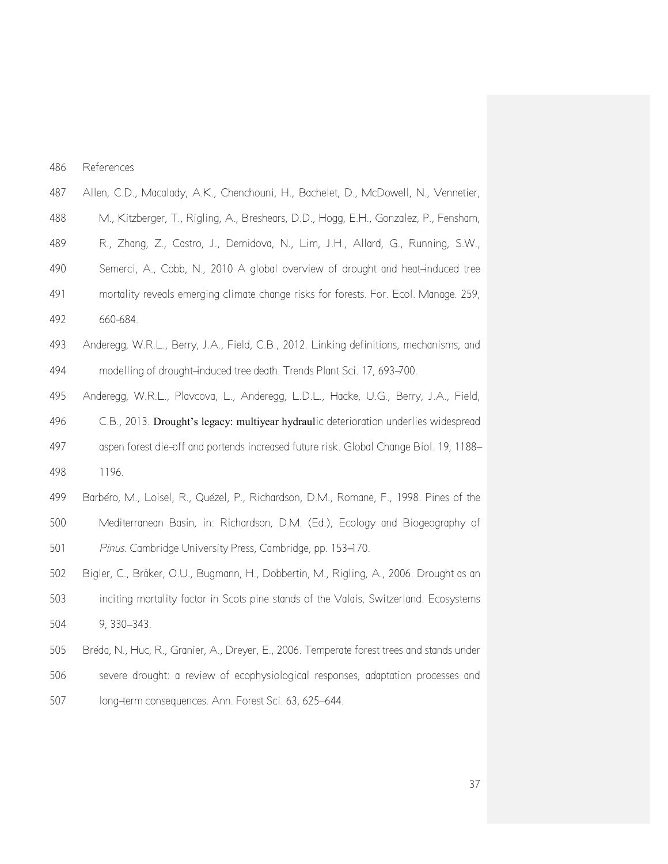| 486 | References |
|-----|------------|
|     |            |

- Allen, C.D., Macalady, A.K., Chenchouni, H., Bachelet, D., McDowell, N., Vennetier,
- M., Kitzberger, T., Rigling, A., Breshears, D.D., Hogg, E.H., Gonzalez, P., Fensham,
- R., Zhang, Z., Castro, J., Demidova, N., Lim, J.H., Allard, G., Running, S.W.,
- Semerci, A., Cobb, N., 2010 A global overview of drought and heat-induced tree
- mortality reveals emerging climate change risks for forests. For. Ecol. Manage. 259,
- 660-684.
- Anderegg, W.R.L., Berry, J.A., Field, C.B., 2012. Linking definitions, mechanisms, and 494 modelling of drought-induced tree death. Trends Plant Sci. 17, 693-700.
- Anderegg, W.R.L., Plavcova, L., Anderegg, L.D.L., Hacke, U.G., Berry, J.A., Field,

 C.B., 2013. Drought's legacy: multiyear hydraulic deterioration underlies widespread aspen forest die-off and portends increased future risk. Global Change Biol. 19, 1188- 1196.

- Barbéro, M., Loisel, R., Quézel, P., Richardson, D.M., Romane, F., 1998. Pines of the Mediterranean Basin, in: Richardson, D.M. (Ed.), Ecology and Biogeography of *Pinus*. Cambridge University Press, Cambridge, pp. 153-170.
- Bigler, C., Bräker, O.U., Bugmann, H., Dobbertin, M., Rigling, A., 2006. Drought as an inciting mortality factor in Scots pine stands of the Valais, Switzerland. Ecosystems 9, 330–343.
- Bréda, N., Huc, R., Granier, A., Dreyer, E., 2006. Temperate forest trees and stands under severe drought: a review of ecophysiological responses, adaptation processes and long-term consequences. Ann. Forest Sci. 63, 625–644.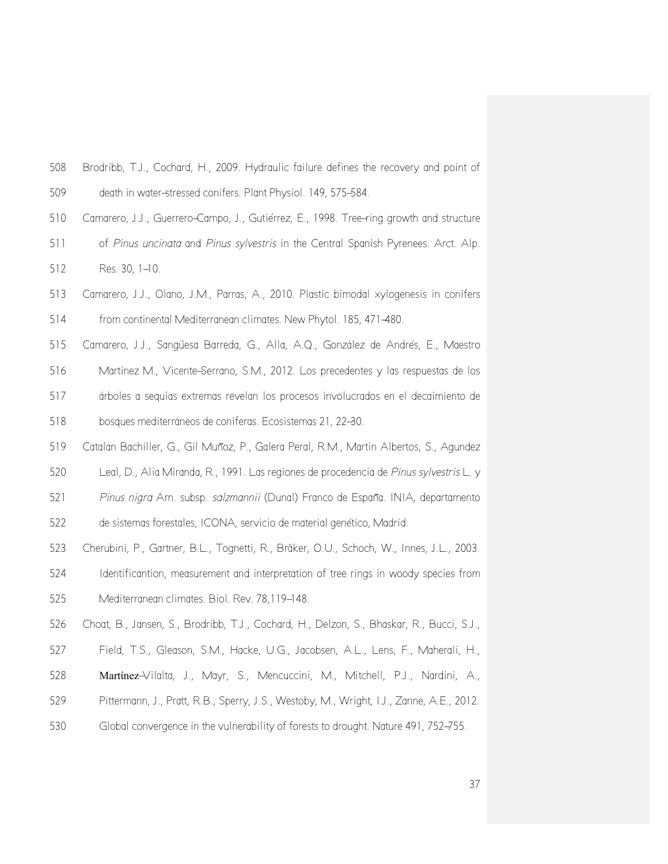- Brodribb, T.J., Cochard, H., 2009. Hydraulic failure defines the recovery and point of death in water-stressed conifers. Plant Physiol. 149, 575-584.
- Camarero, J.J., Guerrero-Campo, J., Gutiérrez, E., 1998. Tree-ring growth and structure
- of *Pinus uncinata* and *Pinus sylvestris* in the Central Spanish Pyrenees. Arct. Alp. 512 Res. 30, 1-10.
- Camarero, J.J., Olano, J.M., Parras, A., 2010. Plastic bimodal xylogenesis in conifers from continental Mediterranean climates. New Phytol. 185, 471-480.
- Camarero, J.J., Sangüesa Barreda, G., Alla, A.Q., González de Andrés, E., Maestro
- Martínez M., Vicente-Serrano, S.M., 2012. Los precedentes y las respuestas de los
- árboles a sequías extremas revelan los procesos involucrados en el decaimiento de bosques mediterráneos de coníferas. Ecosistemas 21, 22-30.
- Catalan Bachiller, G., Gil Muñoz, P., Galera Peral, R.M., Martin Albertos, S., Agundez
- Leal, D., Alia Miranda, R., 1991. Las regiones de procedencia de *Pinus sylvestris* L. y
- *Pinus nigra* Arn. subsp. *salzmannii* (Dunal) Franco de España. INIA, departamento
- de sistemas forestales, ICONA, servicio de material genético, Madrid.
- Cherubini, P., Gartner, B.L., Tognetti, R., Bräker, O.U., Schoch, W., Innes, J.L., 2003. Identificantion, measurement and interpretation of tree rings in woody species from Mediterranean climates. Biol. Rev. 78,119-148.
- Choat, B., Jansen, S., Brodribb, T.J., Cochard, H., Delzon, S., Bhaskar, R., Bucci, S.J.,
- Field, T.S., Gleason, S.M., Hacke, U.G., Jacobsen, A.L., Lens, F., Maherali, H.,
- Martίnez-Vilalta, J., Mayr, S., Mencuccini, M., Mitchell, P.J., Nardini, A.,
- Pittermann, J., Pratt, R.B., Sperry, J.S., Westoby, M., Wright, I.J., Zanne, A.E., 2012.
- Global convergence in the vulnerability of forests to drought. Nature 491, 752-755.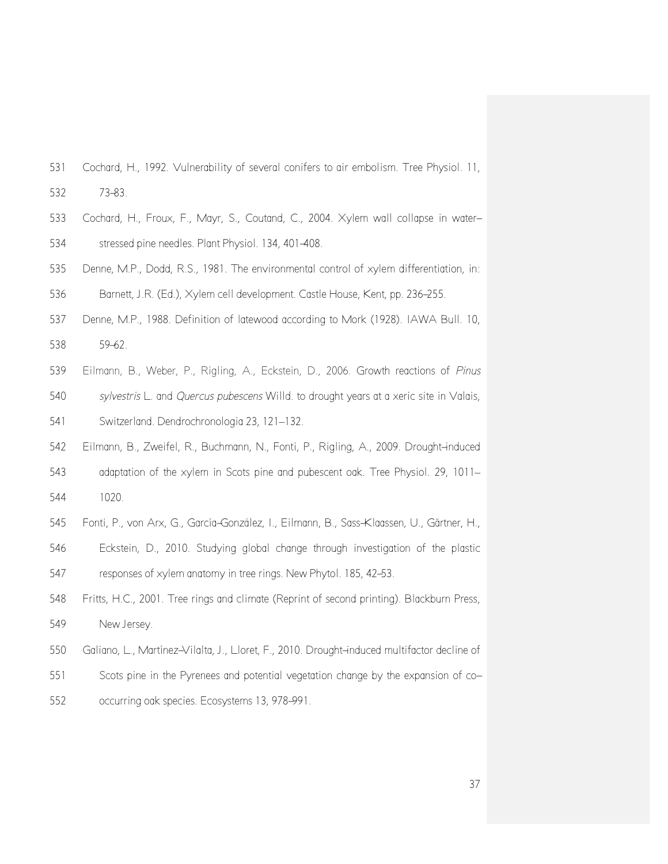- Cochard, H., 1992. Vulnerability of several conifers to air embolism. Tree Physiol. 11, 73-83.
- Cochard, H., Froux, F., Mayr, S., Coutand, C., 2004. Xylem wall collapse in water-stressed pine needles. Plant Physiol. 134, 401-408.
- Denne, M.P., Dodd, R.S., 1981. The environmental control of xylem differentiation, in: Barnett, J.R. (Ed.), Xylem cell development. Castle House, Kent, pp. 236-255.
- Denne, M.P., 1988. Definition of latewood according to Mork (1928). IAWA Bull. 10, 59-62.
- Eilmann, B., Weber, P., Rigling, A., Eckstein, D., 2006. Growth reactions of *Pinus*
- *sylvestris* L. and *Quercus pubescens* Willd. to drought years at a xeric site in Valais, Switzerland. Dendrochronologia 23, 121–132.
- Eilmann, B., Zweifel, R., Buchmann, N., Fonti, P., Rigling, A., 2009. Drought-induced adaptation of the xylem in Scots pine and pubescent oak. Tree Physiol. 29, 1011– 1020.
- Fonti, P., von Arx, G., García-González, I., Eilmann, B., Sass-Klaassen, U., Gärtner, H.,
- Eckstein, D., 2010. Studying global change through investigation of the plastic responses of xylem anatomy in tree rings. New Phytol. 185, 42-53.
- Fritts, H.C., 2001. Tree rings and climate (Reprint of second printing). Blackburn Press, New Jersey.
- Galiano, L., Martínez-Vilalta, J., Lloret, F., 2010. Drought-induced multifactor decline of
- Scots pine in the Pyrenees and potential vegetation change by the expansion of co-
- occurring oak species. Ecosystems 13, 978-991.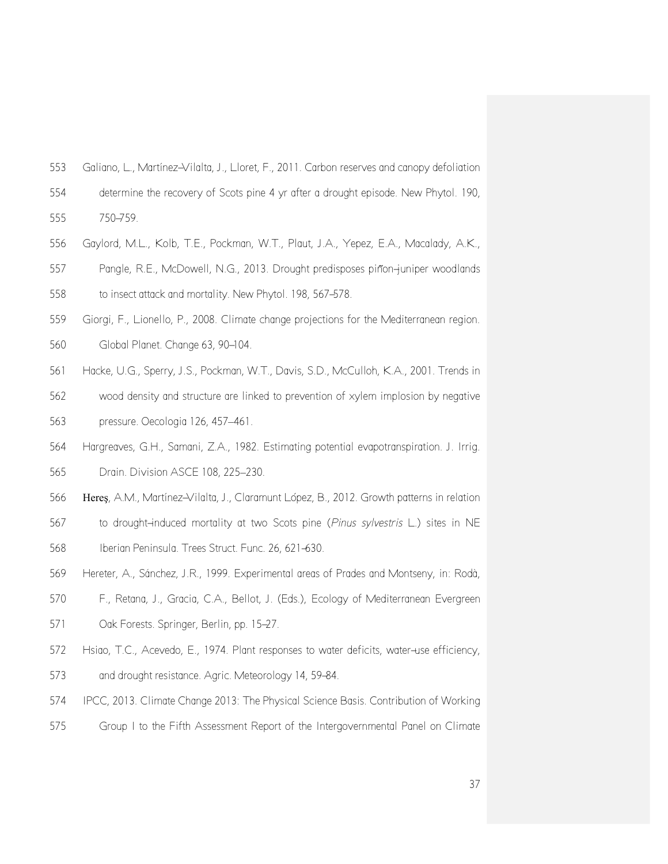- Galiano, L., Martínez-Vilalta, J., Lloret, F., 2011. Carbon reserves and canopy defoliation
- determine the recovery of Scots pine 4 yr after a drought episode. New Phytol. 190,

750-759.

- Gaylord, M.L., Kolb, T.E., Pockman, W.T., Plaut, J.A., Yepez, E.A., Macalady, A.K.,
- Pangle, R.E., McDowell, N.G., 2013. Drought predisposes piñon-juniper woodlands to insect attack and mortality. New Phytol. 198, 567-578.
- Giorgi, F., Lionello, P., 2008. Climate change projections for the Mediterranean region.
- Global Planet. Change 63, 90-104.
- Hacke, U.G., Sperry, J.S., Pockman, W.T., Davis, S.D., McCulloh, K.A., 2001. Trends in
- wood density and structure are linked to prevention of xylem implosion by negative pressure. Oecologia 126, 457–461.
- Hargreaves, G.H., Samani, Z.A., 1982. Estimating potential evapotranspiration. J. Irrig. Drain. Division ASCE 108, 225–230.
- Hereş, A.M., Martínez-Vilalta, J., Claramunt López, B., 2012. Growth patterns in relation
- to drought-induced mortality at two Scots pine (*Pinus sylvestris* L.) sites in NE Iberian Peninsula. Trees Struct. Func. 26, 621-630.
- Hereter, A., Sánchez, J.R., 1999. Experimental areas of Prades and Montseny, in: Rodà,
- F., Retana, J., Gracia, C.A., Bellot, J. (Eds.), Ecology of Mediterranean Evergreen Oak Forests. Springer, Berlin, pp. 15-27.
- Hsiao, T.C., Acevedo, E., 1974. Plant responses to water deficits, water-use efficiency, and drought resistance. Agric. Meteorology 14, 59-84.
- IPCC, 2013. Climate Change 2013: The Physical Science Basis. Contribution of Working
- Group I to the Fifth Assessment Report of the Intergovernmental Panel on Climate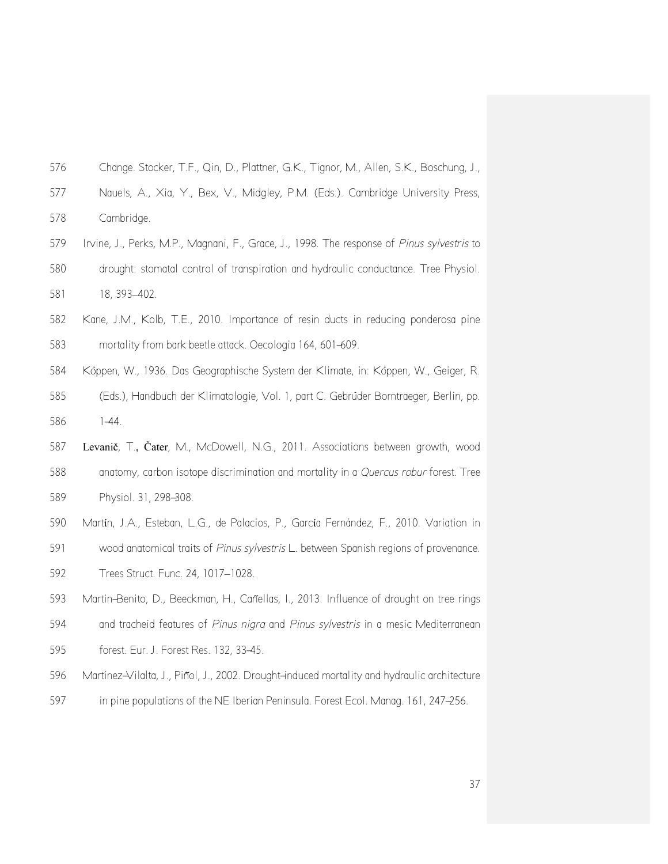- Change. Stocker, T.F., Qin, D., Plattner, G.K., Tignor, M., Allen, S.K., Boschung, J.,
- Nauels, A., Xia, Y., Bex, V., Midgley, P.M. (Eds.). Cambridge University Press,
- Cambridge.
- Irvine, J., Perks, M.P., Magnani, F., Grace, J., 1998. The response of *Pinus sylvestris* to drought: stomatal control of transpiration and hydraulic conductance. Tree Physiol. 18, 393–402.
- Kane, J.M., Kolb, T.E., 2010. Importance of resin ducts in reducing ponderosa pine mortality from bark beetle attack. Oecologia 164, 601-609.
- Köppen, W., 1936. Das Geographische System der Klimate, in: Köppen, W., Geiger, R. (Eds.), Handbuch der Klimatologie, Vol. 1, part C. Gebrüder Borntraeger, Berlin, pp. 1-44.
- 
- Levanič, T., Čater, M., McDowell, N.G., 2011. Associations between growth, wood anatomy, carbon isotope discrimination and mortality in a *Quercus robur* forest. Tree Physiol. 31, 298-308.
- Martίn, J.A., Esteban, L.G., de Palacios, P., Garcίa Fernández, F., 2010. Variation in
- wood anatomical traits of *Pinus sylvestris* L. between Spanish regions of provenance.
- Trees Struct. Func. 24, 1017–1028.
- Martin-Benito, D., Beeckman, H., Cañellas, I., 2013. Influence of drought on tree rings and tracheid features of *Pinus nigra* and *Pinus sylvestris* in a mesic Mediterranean
- forest. Eur. J. Forest Res. 132, 33-45.
- Martínez-Vilalta, J., Piñol, J., 2002. Drought-induced mortality and hydraulic architecture
- in pine populations of the NE Iberian Peninsula. Forest Ecol. Manag. 161, 247-256.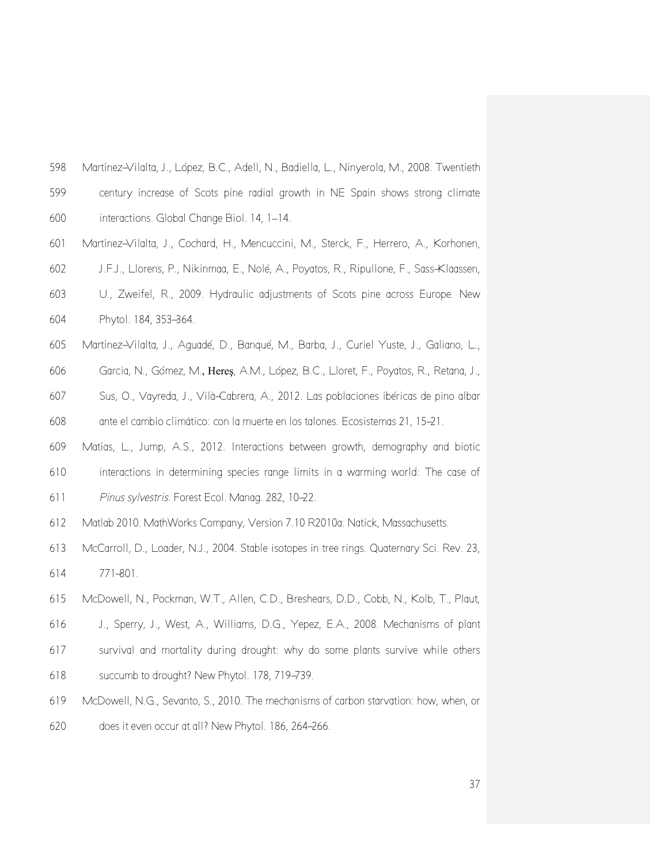| 598 | Martínez–Vilalta, J., López, B.C., Adell, N., Badiella, L., Ninyerola, M., 2008. Twentieth |
|-----|--------------------------------------------------------------------------------------------|
| 599 | century increase of Scots pine radial growth in NE Spain shows strong climate              |
| 600 | interactions. Global Change Biol. 14, 1-14.                                                |
| 601 | Martínez–Vilalta, J., Cochard, H., Mencuccini, M., Sterck, F., Herrero, A., Korhonen,      |
| 602 | J.F.J., Llorens, P., Nikinmaa, E., Nolè, A., Poyatos, R., Ripullone, F., Sass-Klaassen,    |
| 603 | U., Zweifel, R., 2009. Hydraulic adjustments of Scots pine across Europe. New              |
| 604 | Phytol. 184, 353-364.                                                                      |
| 605 | Martínez–Vilalta, J., Aguadé, D., Bangué, M., Barba, J., Curiel Yuste, J., Galiano, L.,    |
| 606 | Garcia, N., Gómez, M., Heres, A.M., López, B.C., Lloret, F., Poyatos, R., Retana, J.,      |
| 607 | Sus, O., Vayreda, J., Vilà-Cabrera, A., 2012. Las poblaciones ibéricas de pino albar       |

ante el cambio climático: con la muerte en los talones. Ecosistemas 21, 15-21.

- Matías, L., Jump, A.S., 2012. Interactions between growth, demography and biotic interactions in determining species range limits in a warming world: The case of
- *Pinus sylvestris*. Forest Ecol. Manag. 282, 10-22.
- Matlab 2010. MathWorks Company, Version 7.10 R2010a. Natick, Massachusetts.
- McCarroll, D., Loader, N.J., 2004. Stable isotopes in tree rings. Quaternary Sci. Rev. 23, 771-801.
- McDowell, N., Pockman, W.T., Allen, C.D., Breshears, D.D., Cobb, N., Kolb, T., Plaut, J., Sperry, J., West, A., Williams, D.G., Yepez, E.A., 2008. Mechanisms of plant survival and mortality during drought: why do some plants survive while others succumb to drought? New Phytol. 178, 719-739.
- McDowell, N.G., Sevanto, S., 2010. The mechanisms of carbon starvation: how, when, or does it even occur at all? New Phytol. 186, 264-266.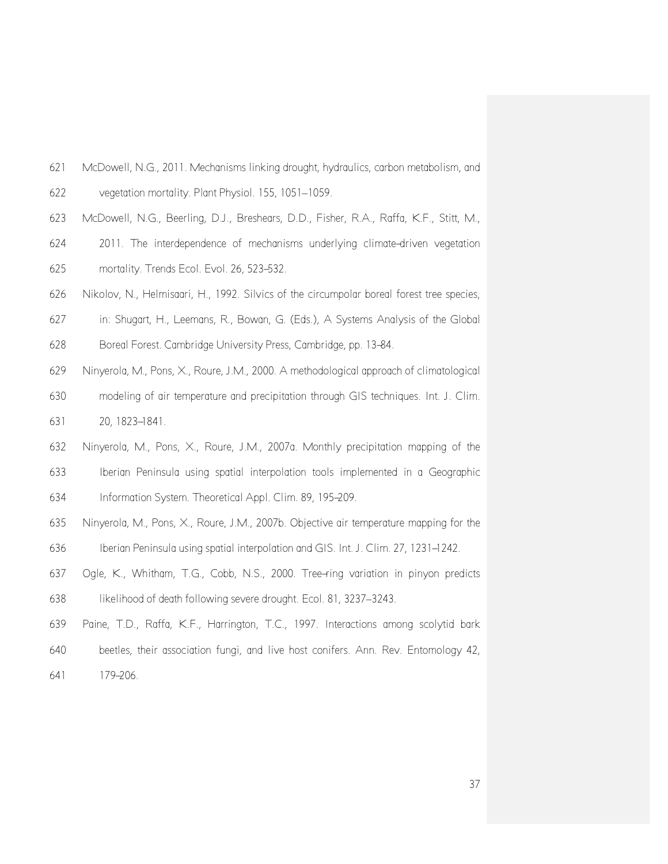- McDowell, N.G., 2011. Mechanisms linking drought, hydraulics, carbon metabolism, and vegetation mortality. Plant Physiol. 155, 1051–1059.
- McDowell, N.G., Beerling, D.J., Breshears, D.D., Fisher, R.A., Raffa, K.F., Stitt, M.,
- 2011. The interdependence of mechanisms underlying climate-driven vegetation mortality. Trends Ecol. Evol. 26, 523-532.
- Nikolov, N., Helmisaari, H., 1992. Silvics of the circumpolar boreal forest tree species,
- in: Shugart, H., Leemans, R., Bowan, G. (Eds.), A Systems Analysis of the Global
- Boreal Forest. Cambridge University Press, Cambridge, pp. 13-84.
- Ninyerola, M., Pons, X., Roure, J.M., 2000. A methodological approach of climatological modeling of air temperature and precipitation through GIS techniques. Int. J. Clim. 20, 1823-1841.
- Ninyerola, M., Pons, X., Roure, J.M., 2007a. Monthly precipitation mapping of the Iberian Peninsula using spatial interpolation tools implemented in a Geographic Information System. Theoretical Appl. Clim. 89, 195-209.
- Ninyerola, M., Pons, X., Roure, J.M., 2007b. Objective air temperature mapping for the Iberian Peninsula using spatial interpolation and GIS. Int. J. Clim. 27, 1231-1242.
- Ogle, K., Whitham, T.G., Cobb, N.S., 2000. Tree-ring variation in pinyon predicts likelihood of death following severe drought. Ecol. 81, 3237–3243.
- Paine, T.D., Raffa, K.F., Harrington, T.C., 1997. Interactions among scolytid bark
- beetles, their association fungi, and live host conifers. Ann. Rev. Entomology 42,
- 179-206.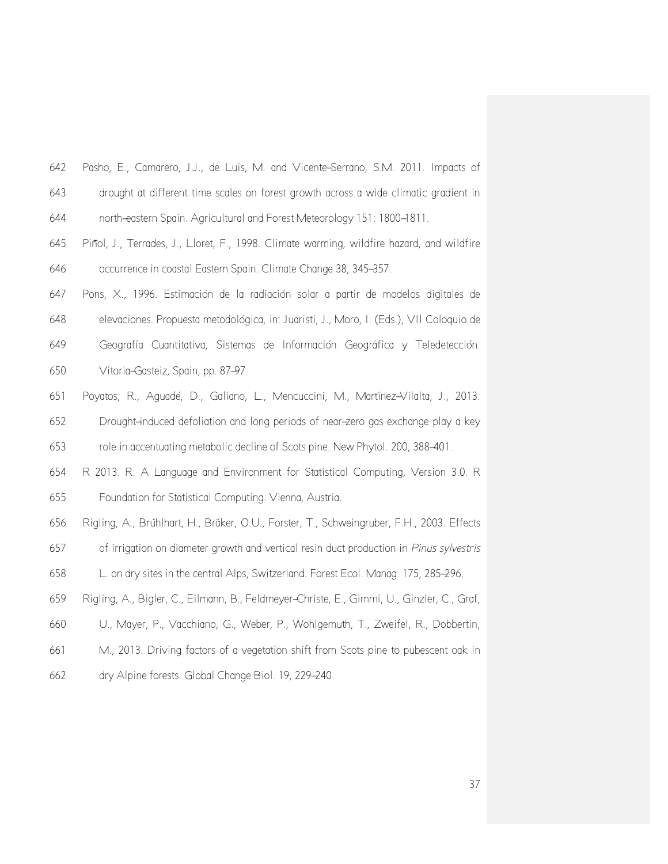| 642 | Pasho, E., Camarero, J.J., de Luis, M. and Vicente–Serrano, S.M. 2011. Impacts of    |
|-----|--------------------------------------------------------------------------------------|
| 643 | drought at different time scales on forest growth across a wide climatic gradient in |
| 644 | north-eastern Spain. Agricultural and Forest Meteorology 151: 1800–1811.             |

- Piñol, J., Terrades, J., Lloret, F., 1998. Climate warming, wildfire hazard, and wildfire occurrence in coastal Eastern Spain. Climate Change 38, 345-357.
- Pons, X., 1996. Estimación de la radiación solar a partir de modelos digitales de elevaciones. Propuesta metodológica, in: Juaristi, J., Moro, I. (Eds.), VII Coloquio de Geografía Cuantitativa, Sistemas de Información Geográfica y Teledetección. Vitoria-Gasteiz, Spain, pp. 87-97.
- Poyatos, R., Aguadé, D., Galiano, L., Mencuccini, M., Martínez-Vilalta, J., 2013. Drought-induced defoliation and long periods of near-zero gas exchange play a key

role in accentuating metabolic decline of Scots pine. New Phytol. 200, 388-401.

- R 2013. R: A Language and Environment for Statistical Computing, Version 3.0. R Foundation for Statistical Computing. Vienna, Austria.
- Rigling, A., Brühlhart, H., Bräker, O.U., Forster, T., Schweingruber, F.H., 2003. Effects
- of irrigation on diameter growth and vertical resin duct production in *Pinus sylvestris*
- L. on dry sites in the central Alps, Switzerland. Forest Ecol. Manag. 175, 285-296.
- Rigling, A., Bigler, C., Eilmann, B., Feldmeyer-Christe, E., Gimmi, U., Ginzler, C., Graf,
- U., Mayer, P., Vacchiano, G., Weber, P., Wohlgemuth, T., Zweifel, R., Dobbertin,
- M., 2013. Driving factors of a vegetation shift from Scots pine to pubescent oak in
- dry Alpine forests. Global Change Biol. 19, 229-240.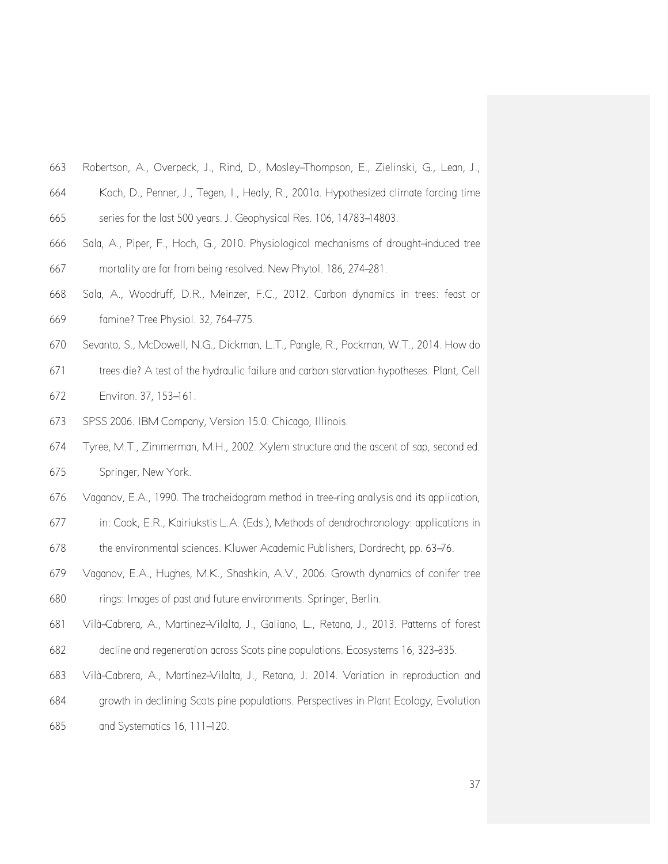- Robertson, A., Overpeck, J., Rind, D., Mosley-Thompson, E., Zielinski, G., Lean, J.,
- Koch, D., Penner, J., Tegen, I., Healy, R., 2001a. Hypothesized climate forcing time
- series for the last 500 years. J. Geophysical Res. 106, 14783-14803.
- Sala, A., Piper, F., Hoch, G., 2010. Physiological mechanisms of drought-induced tree mortality are far from being resolved. New Phytol. 186, 274-281.
- Sala, A., Woodruff, D.R., Meinzer, F.C., 2012. Carbon dynamics in trees: feast or famine? Tree Physiol. 32, 764-775.
- Sevanto, S., McDowell, N.G., Dickman, L.T., Pangle, R., Pockman, W.T., 2014. How do
- trees die? A test of the hydraulic failure and carbon starvation hypotheses. Plant, Cell
- Environ. 37, 153-161.
- SPSS 2006. IBM Company, Version 15.0. Chicago, Illinois.
- Tyree, M.T., Zimmerman, M.H., 2002. Xylem structure and the ascent of sap, second ed. Springer, New York.
- Vaganov, E.A., 1990. The tracheidogram method in tree-ring analysis and its application,
- in: Cook, E.R., Kairiukstis L.A. (Eds.), Methods of dendrochronology: applications in
- 678 the environmental sciences. Kluwer Academic Publishers, Dordrecht, pp. 63–76.
- Vaganov, E.A., Hughes, M.K., Shashkin, A.V., 2006. Growth dynamics of conifer tree rings: Images of past and future environments. Springer, Berlin.
- Vilà-Cabrera, A., Martínez-Vilalta, J., Galiano, L., Retana, J., 2013. Patterns of forest decline and regeneration across Scots pine populations. Ecosystems 16, 323-335.
- 
- Vilà-Cabrera, A., Martínez-Vilalta, J., Retana, J. 2014. Variation in reproduction and
- growth in declining Scots pine populations. Perspectives in Plant Ecology, Evolution
- and Systematics 16, 111-120.